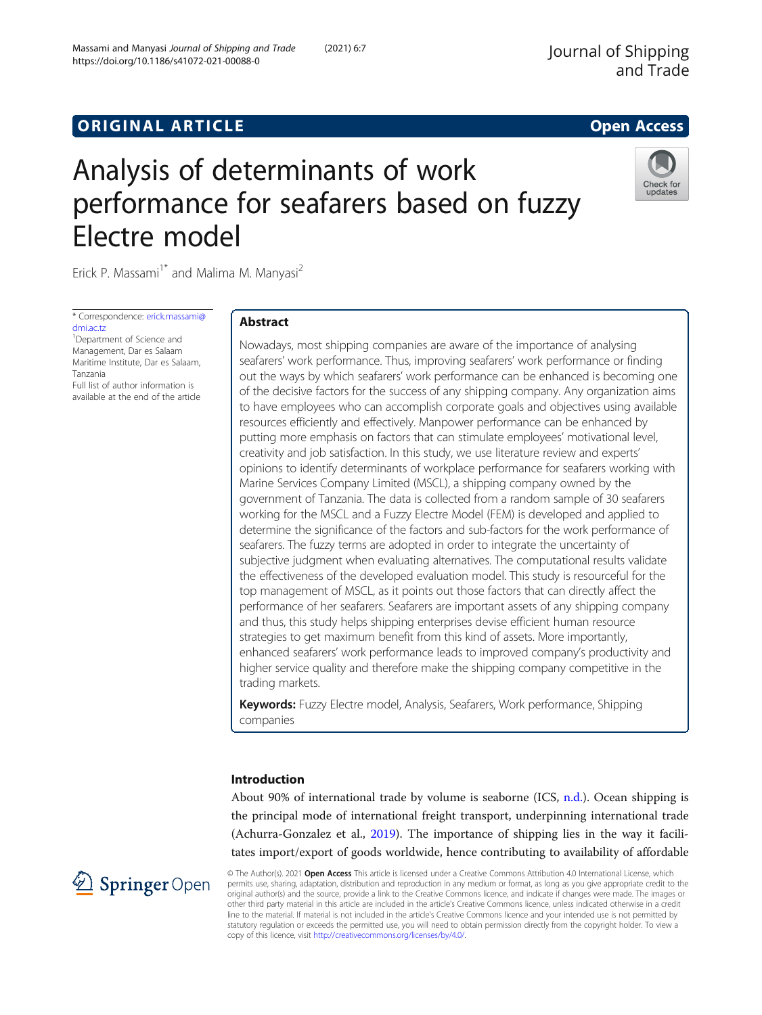# **ORIGINAL ARTICLE CONSUMING A LIGACION** CONSUMING A LIGACION CONSUMING A LIGACION CONSUMING A LIGACION CONSUMING A LIGACION CONSUMING A LIGACION CONSUMING A LIGACION CONSUMING A LIGACION CONSUMING A LIGACION CONSUMING A

# Analysis of determinants of work performance for seafarers based on fuzzy Electre model

Erick P. Massami<sup>1\*</sup> and Malima M. Manyasi<sup>2</sup>

\* Correspondence: [erick.massami@](mailto:erick.massami@dmi.ac.tz) [dmi.ac.tz](mailto:erick.massami@dmi.ac.tz)

<sup>1</sup>Department of Science and Management, Dar es Salaam Maritime Institute, Dar es Salaam, Tanzania Full list of author information is

available at the end of the article

## Abstract

Nowadays, most shipping companies are aware of the importance of analysing seafarers' work performance. Thus, improving seafarers' work performance or finding out the ways by which seafarers' work performance can be enhanced is becoming one of the decisive factors for the success of any shipping company. Any organization aims to have employees who can accomplish corporate goals and objectives using available resources efficiently and effectively. Manpower performance can be enhanced by putting more emphasis on factors that can stimulate employees' motivational level, creativity and job satisfaction. In this study, we use literature review and experts' opinions to identify determinants of workplace performance for seafarers working with Marine Services Company Limited (MSCL), a shipping company owned by the government of Tanzania. The data is collected from a random sample of 30 seafarers working for the MSCL and a Fuzzy Electre Model (FEM) is developed and applied to determine the significance of the factors and sub-factors for the work performance of seafarers. The fuzzy terms are adopted in order to integrate the uncertainty of subjective judgment when evaluating alternatives. The computational results validate the effectiveness of the developed evaluation model. This study is resourceful for the top management of MSCL, as it points out those factors that can directly affect the performance of her seafarers. Seafarers are important assets of any shipping company and thus, this study helps shipping enterprises devise efficient human resource strategies to get maximum benefit from this kind of assets. More importantly, enhanced seafarers' work performance leads to improved company's productivity and higher service quality and therefore make the shipping company competitive in the trading markets.

Keywords: Fuzzy Electre model, Analysis, Seafarers, Work performance, Shipping companies

## Introduction

About 90% of international trade by volume is seaborne (ICS, [n.d.\)](#page-18-0). Ocean shipping is the principal mode of international freight transport, underpinning international trade (Achurra-Gonzalez et al., [2019](#page-17-0)). The importance of shipping lies in the way it facilitates import/export of goods worldwide, hence contributing to availability of affordable

© The Author(s). 2021 Open Access This article is licensed under a Creative Commons Attribution 4.0 International License, which permits use, sharing, adaptation, distribution and reproduction in any medium or format, as long as you give appropriate credit to the original author(s) and the source, provide a link to the Creative Commons licence, and indicate if changes were made. The images or other third party material in this article are included in the article's Creative Commons licence, unless indicated otherwise in a credit line to the material. If material is not included in the article's Creative Commons licence and your intended use is not permitted by statutory regulation or exceeds the permitted use, you will need to obtain permission directly from the copyright holder. To view a copy of this licence, visit <http://creativecommons.org/licenses/by/4.0/>.



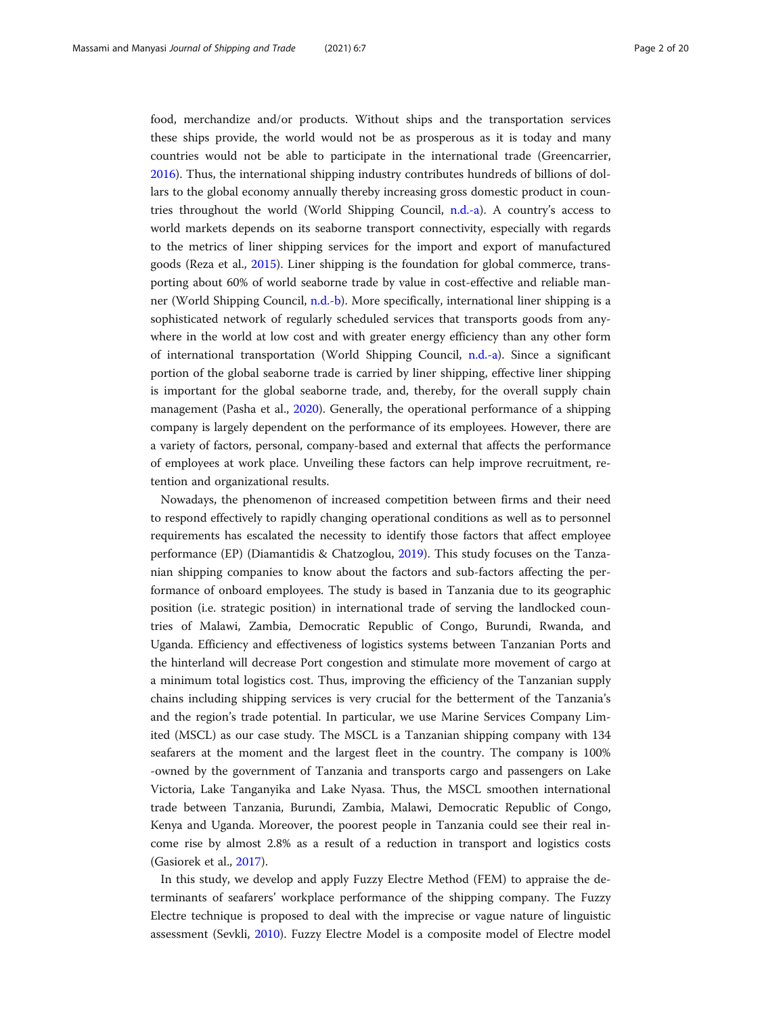food, merchandize and/or products. Without ships and the transportation services these ships provide, the world would not be as prosperous as it is today and many countries would not be able to participate in the international trade (Greencarrier, [2016](#page-18-0)). Thus, the international shipping industry contributes hundreds of billions of dollars to the global economy annually thereby increasing gross domestic product in countries throughout the world (World Shipping Council, [n.d.-a\)](#page-18-0). A country's access to world markets depends on its seaborne transport connectivity, especially with regards to the metrics of liner shipping services for the import and export of manufactured goods (Reza et al., [2015](#page-18-0)). Liner shipping is the foundation for global commerce, transporting about 60% of world seaborne trade by value in cost-effective and reliable manner (World Shipping Council, [n.d.-b\)](#page-18-0). More specifically, international liner shipping is a sophisticated network of regularly scheduled services that transports goods from anywhere in the world at low cost and with greater energy efficiency than any other form of international transportation (World Shipping Council, [n.d.-a](#page-18-0)). Since a significant portion of the global seaborne trade is carried by liner shipping, effective liner shipping is important for the global seaborne trade, and, thereby, for the overall supply chain management (Pasha et al., [2020](#page-18-0)). Generally, the operational performance of a shipping company is largely dependent on the performance of its employees. However, there are a variety of factors, personal, company-based and external that affects the performance of employees at work place. Unveiling these factors can help improve recruitment, retention and organizational results.

Nowadays, the phenomenon of increased competition between firms and their need to respond effectively to rapidly changing operational conditions as well as to personnel requirements has escalated the necessity to identify those factors that affect employee performance (EP) (Diamantidis & Chatzoglou, [2019](#page-17-0)). This study focuses on the Tanzanian shipping companies to know about the factors and sub-factors affecting the performance of onboard employees. The study is based in Tanzania due to its geographic position (i.e. strategic position) in international trade of serving the landlocked countries of Malawi, Zambia, Democratic Republic of Congo, Burundi, Rwanda, and Uganda. Efficiency and effectiveness of logistics systems between Tanzanian Ports and the hinterland will decrease Port congestion and stimulate more movement of cargo at a minimum total logistics cost. Thus, improving the efficiency of the Tanzanian supply chains including shipping services is very crucial for the betterment of the Tanzania's and the region's trade potential. In particular, we use Marine Services Company Limited (MSCL) as our case study. The MSCL is a Tanzanian shipping company with 134 seafarers at the moment and the largest fleet in the country. The company is 100% -owned by the government of Tanzania and transports cargo and passengers on Lake Victoria, Lake Tanganyika and Lake Nyasa. Thus, the MSCL smoothen international trade between Tanzania, Burundi, Zambia, Malawi, Democratic Republic of Congo, Kenya and Uganda. Moreover, the poorest people in Tanzania could see their real income rise by almost 2.8% as a result of a reduction in transport and logistics costs (Gasiorek et al., [2017](#page-18-0)).

In this study, we develop and apply Fuzzy Electre Method (FEM) to appraise the determinants of seafarers' workplace performance of the shipping company. The Fuzzy Electre technique is proposed to deal with the imprecise or vague nature of linguistic assessment (Sevkli, [2010\)](#page-18-0). Fuzzy Electre Model is a composite model of Electre model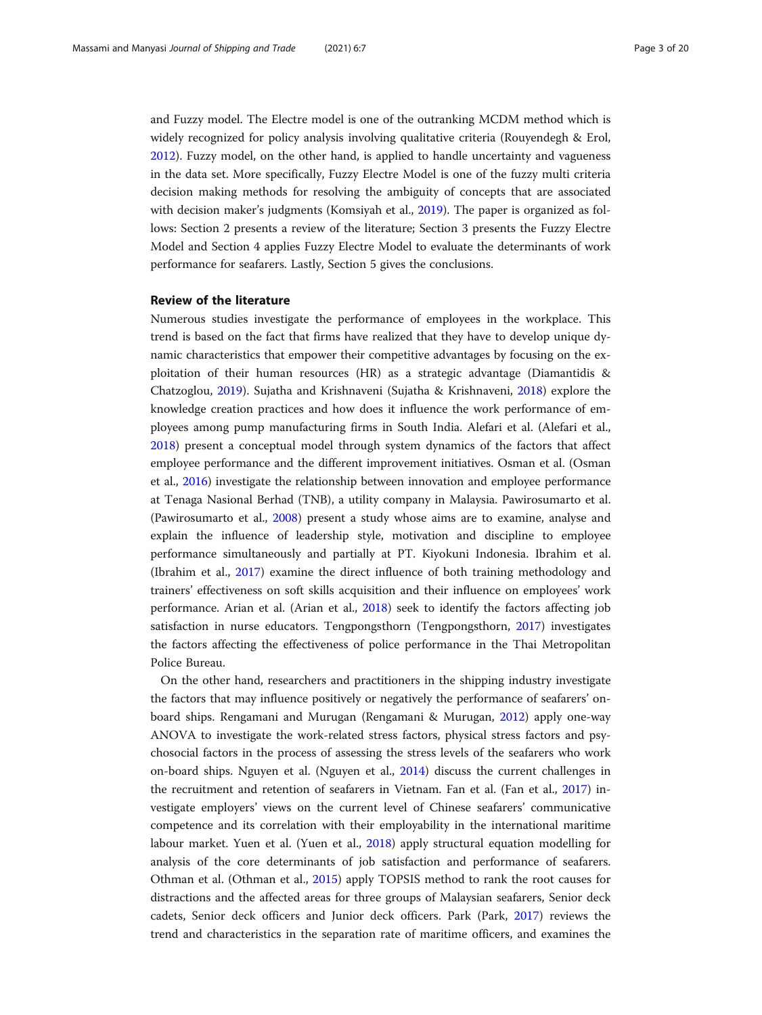and Fuzzy model. The Electre model is one of the outranking MCDM method which is widely recognized for policy analysis involving qualitative criteria (Rouyendegh & Erol, [2012](#page-18-0)). Fuzzy model, on the other hand, is applied to handle uncertainty and vagueness in the data set. More specifically, Fuzzy Electre Model is one of the fuzzy multi criteria decision making methods for resolving the ambiguity of concepts that are associated with decision maker's judgments (Komsiyah et al., [2019](#page-18-0)). The paper is organized as follows: Section 2 presents a review of the literature; Section 3 presents the Fuzzy Electre Model and Section 4 applies Fuzzy Electre Model to evaluate the determinants of work performance for seafarers. Lastly, Section 5 gives the conclusions.

#### Review of the literature

Numerous studies investigate the performance of employees in the workplace. This trend is based on the fact that firms have realized that they have to develop unique dynamic characteristics that empower their competitive advantages by focusing on the exploitation of their human resources (HR) as a strategic advantage (Diamantidis & Chatzoglou, [2019\)](#page-17-0). Sujatha and Krishnaveni (Sujatha & Krishnaveni, [2018](#page-18-0)) explore the knowledge creation practices and how does it influence the work performance of employees among pump manufacturing firms in South India. Alefari et al. (Alefari et al., [2018](#page-17-0)) present a conceptual model through system dynamics of the factors that affect employee performance and the different improvement initiatives. Osman et al. (Osman et al., [2016](#page-18-0)) investigate the relationship between innovation and employee performance at Tenaga Nasional Berhad (TNB), a utility company in Malaysia. Pawirosumarto et al. (Pawirosumarto et al., [2008\)](#page-18-0) present a study whose aims are to examine, analyse and explain the influence of leadership style, motivation and discipline to employee performance simultaneously and partially at PT. Kiyokuni Indonesia. Ibrahim et al. (Ibrahim et al., [2017\)](#page-18-0) examine the direct influence of both training methodology and trainers' effectiveness on soft skills acquisition and their influence on employees' work performance. Arian et al. (Arian et al., [2018](#page-17-0)) seek to identify the factors affecting job satisfaction in nurse educators. Tengpongsthorn (Tengpongsthorn, [2017](#page-18-0)) investigates the factors affecting the effectiveness of police performance in the Thai Metropolitan Police Bureau.

On the other hand, researchers and practitioners in the shipping industry investigate the factors that may influence positively or negatively the performance of seafarers' onboard ships. Rengamani and Murugan (Rengamani & Murugan, [2012](#page-18-0)) apply one-way ANOVA to investigate the work-related stress factors, physical stress factors and psychosocial factors in the process of assessing the stress levels of the seafarers who work on-board ships. Nguyen et al. (Nguyen et al., [2014](#page-18-0)) discuss the current challenges in the recruitment and retention of seafarers in Vietnam. Fan et al. (Fan et al., [2017](#page-17-0)) investigate employers' views on the current level of Chinese seafarers' communicative competence and its correlation with their employability in the international maritime labour market. Yuen et al. (Yuen et al., [2018](#page-19-0)) apply structural equation modelling for analysis of the core determinants of job satisfaction and performance of seafarers. Othman et al. (Othman et al., [2015](#page-18-0)) apply TOPSIS method to rank the root causes for distractions and the affected areas for three groups of Malaysian seafarers, Senior deck cadets, Senior deck officers and Junior deck officers. Park (Park, [2017\)](#page-18-0) reviews the trend and characteristics in the separation rate of maritime officers, and examines the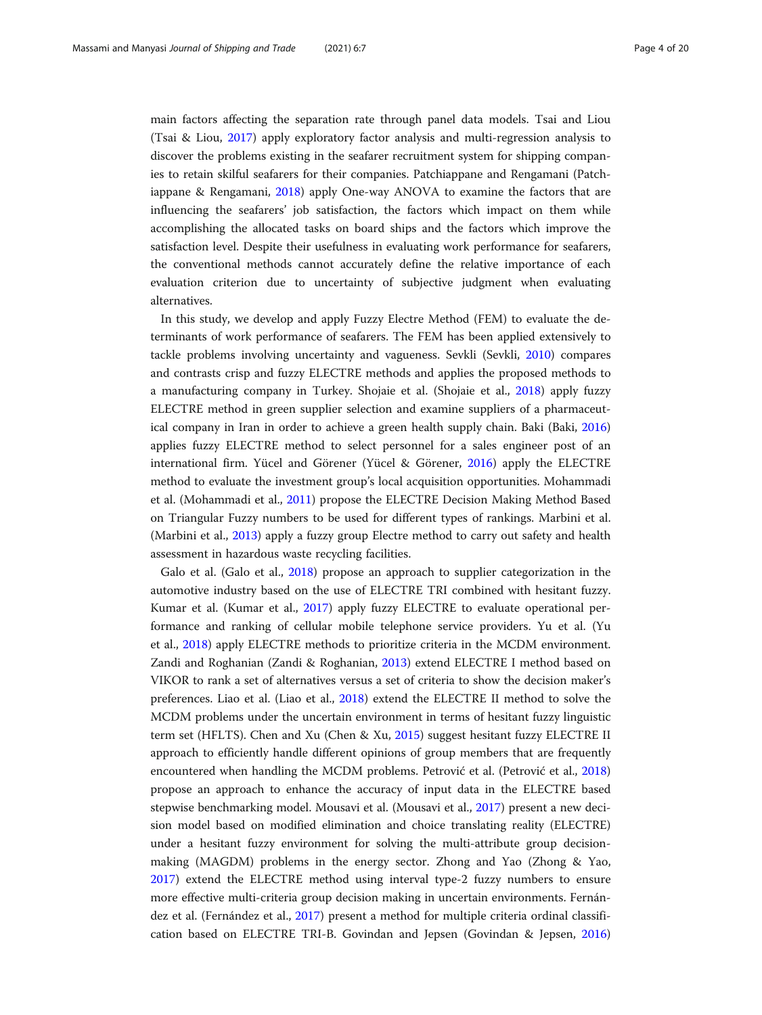main factors affecting the separation rate through panel data models. Tsai and Liou (Tsai & Liou, [2017\)](#page-18-0) apply exploratory factor analysis and multi-regression analysis to discover the problems existing in the seafarer recruitment system for shipping companies to retain skilful seafarers for their companies. Patchiappane and Rengamani (Patchiappane & Rengamani, [2018\)](#page-18-0) apply One-way ANOVA to examine the factors that are influencing the seafarers' job satisfaction, the factors which impact on them while accomplishing the allocated tasks on board ships and the factors which improve the satisfaction level. Despite their usefulness in evaluating work performance for seafarers, the conventional methods cannot accurately define the relative importance of each evaluation criterion due to uncertainty of subjective judgment when evaluating alternatives.

In this study, we develop and apply Fuzzy Electre Method (FEM) to evaluate the determinants of work performance of seafarers. The FEM has been applied extensively to tackle problems involving uncertainty and vagueness. Sevkli (Sevkli, [2010\)](#page-18-0) compares and contrasts crisp and fuzzy ELECTRE methods and applies the proposed methods to a manufacturing company in Turkey. Shojaie et al. (Shojaie et al., [2018\)](#page-18-0) apply fuzzy ELECTRE method in green supplier selection and examine suppliers of a pharmaceutical company in Iran in order to achieve a green health supply chain. Baki (Baki, [2016](#page-17-0)) applies fuzzy ELECTRE method to select personnel for a sales engineer post of an international firm. Yücel and Görener (Yücel & Görener, [2016](#page-19-0)) apply the ELECTRE method to evaluate the investment group's local acquisition opportunities. Mohammadi et al. (Mohammadi et al., [2011\)](#page-18-0) propose the ELECTRE Decision Making Method Based on Triangular Fuzzy numbers to be used for different types of rankings. Marbini et al. (Marbini et al., [2013](#page-18-0)) apply a fuzzy group Electre method to carry out safety and health assessment in hazardous waste recycling facilities.

Galo et al. (Galo et al., [2018](#page-17-0)) propose an approach to supplier categorization in the automotive industry based on the use of ELECTRE TRI combined with hesitant fuzzy. Kumar et al. (Kumar et al., [2017\)](#page-18-0) apply fuzzy ELECTRE to evaluate operational performance and ranking of cellular mobile telephone service providers. Yu et al. (Yu et al., [2018](#page-19-0)) apply ELECTRE methods to prioritize criteria in the MCDM environment. Zandi and Roghanian (Zandi & Roghanian, [2013](#page-19-0)) extend ELECTRE I method based on VIKOR to rank a set of alternatives versus a set of criteria to show the decision maker's preferences. Liao et al. (Liao et al., [2018\)](#page-18-0) extend the ELECTRE II method to solve the MCDM problems under the uncertain environment in terms of hesitant fuzzy linguistic term set (HFLTS). Chen and Xu (Chen & Xu, [2015](#page-17-0)) suggest hesitant fuzzy ELECTRE II approach to efficiently handle different opinions of group members that are frequently encountered when handling the MCDM problems. Petrović et al. (Petrović et al., [2018](#page-18-0)) propose an approach to enhance the accuracy of input data in the ELECTRE based stepwise benchmarking model. Mousavi et al. (Mousavi et al., [2017\)](#page-18-0) present a new decision model based on modified elimination and choice translating reality (ELECTRE) under a hesitant fuzzy environment for solving the multi-attribute group decisionmaking (MAGDM) problems in the energy sector. Zhong and Yao (Zhong & Yao, [2017](#page-19-0)) extend the ELECTRE method using interval type-2 fuzzy numbers to ensure more effective multi-criteria group decision making in uncertain environments. Fernández et al. (Fernández et al., [2017](#page-17-0)) present a method for multiple criteria ordinal classification based on ELECTRE TRI-B. Govindan and Jepsen (Govindan & Jepsen, [2016](#page-18-0))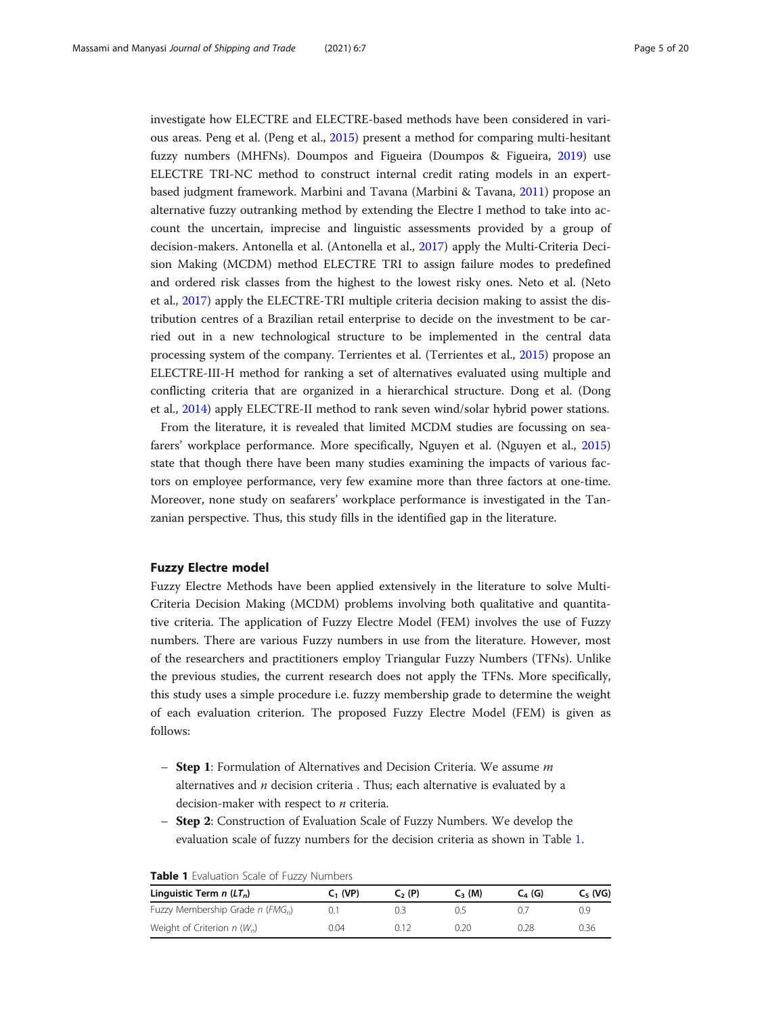<span id="page-4-0"></span>investigate how ELECTRE and ELECTRE-based methods have been considered in various areas. Peng et al. (Peng et al., [2015](#page-18-0)) present a method for comparing multi-hesitant fuzzy numbers (MHFNs). Doumpos and Figueira (Doumpos & Figueira, [2019\)](#page-17-0) use ELECTRE TRI-NC method to construct internal credit rating models in an expertbased judgment framework. Marbini and Tavana (Marbini & Tavana, [2011\)](#page-18-0) propose an alternative fuzzy outranking method by extending the Electre I method to take into account the uncertain, imprecise and linguistic assessments provided by a group of decision-makers. Antonella et al. (Antonella et al., [2017](#page-17-0)) apply the Multi-Criteria Decision Making (MCDM) method ELECTRE TRI to assign failure modes to predefined and ordered risk classes from the highest to the lowest risky ones. Neto et al. (Neto et al., [2017](#page-18-0)) apply the ELECTRE-TRI multiple criteria decision making to assist the distribution centres of a Brazilian retail enterprise to decide on the investment to be carried out in a new technological structure to be implemented in the central data processing system of the company. Terrientes et al. (Terrientes et al., [2015\)](#page-18-0) propose an ELECTRE-III-H method for ranking a set of alternatives evaluated using multiple and conflicting criteria that are organized in a hierarchical structure. Dong et al. (Dong et al., [2014\)](#page-17-0) apply ELECTRE-II method to rank seven wind/solar hybrid power stations.

From the literature, it is revealed that limited MCDM studies are focussing on seafarers' workplace performance. More specifically, Nguyen et al. (Nguyen et al., [2015](#page-18-0)) state that though there have been many studies examining the impacts of various factors on employee performance, very few examine more than three factors at one-time. Moreover, none study on seafarers' workplace performance is investigated in the Tanzanian perspective. Thus, this study fills in the identified gap in the literature.

#### Fuzzy Electre model

Fuzzy Electre Methods have been applied extensively in the literature to solve Multi-Criteria Decision Making (MCDM) problems involving both qualitative and quantitative criteria. The application of Fuzzy Electre Model (FEM) involves the use of Fuzzy numbers. There are various Fuzzy numbers in use from the literature. However, most of the researchers and practitioners employ Triangular Fuzzy Numbers (TFNs). Unlike the previous studies, the current research does not apply the TFNs. More specifically, this study uses a simple procedure i.e. fuzzy membership grade to determine the weight of each evaluation criterion. The proposed Fuzzy Electre Model (FEM) is given as follows:

- **Step 1**: Formulation of Alternatives and Decision Criteria. We assume  $m$ alternatives and  $n$  decision criteria . Thus; each alternative is evaluated by a decision-maker with respect to  $n$  criteria.
- Step 2: Construction of Evaluation Scale of Fuzzy Numbers. We develop the evaluation scale of fuzzy numbers for the decision criteria as shown in Table 1.

| Linguistic Term $n(LT_n)$                      | $C1$ (VP) | $C2$ (P) | $C_{2}$ (M) | $C_{4}$ (G) | $C_{5}$ (VG) |
|------------------------------------------------|-----------|----------|-------------|-------------|--------------|
| Fuzzy Membership Grade $n$ (FMG <sub>n</sub> ) |           | 0.       |             |             | 0.9          |
| Weight of Criterion $n(W_n)$                   | 0.04      | 0.12     | 0.20        | 0.28        | 0.36         |

|  |  | Table 1 Evaluation Scale of Fuzzy Numbers |  |  |  |  |
|--|--|-------------------------------------------|--|--|--|--|
|--|--|-------------------------------------------|--|--|--|--|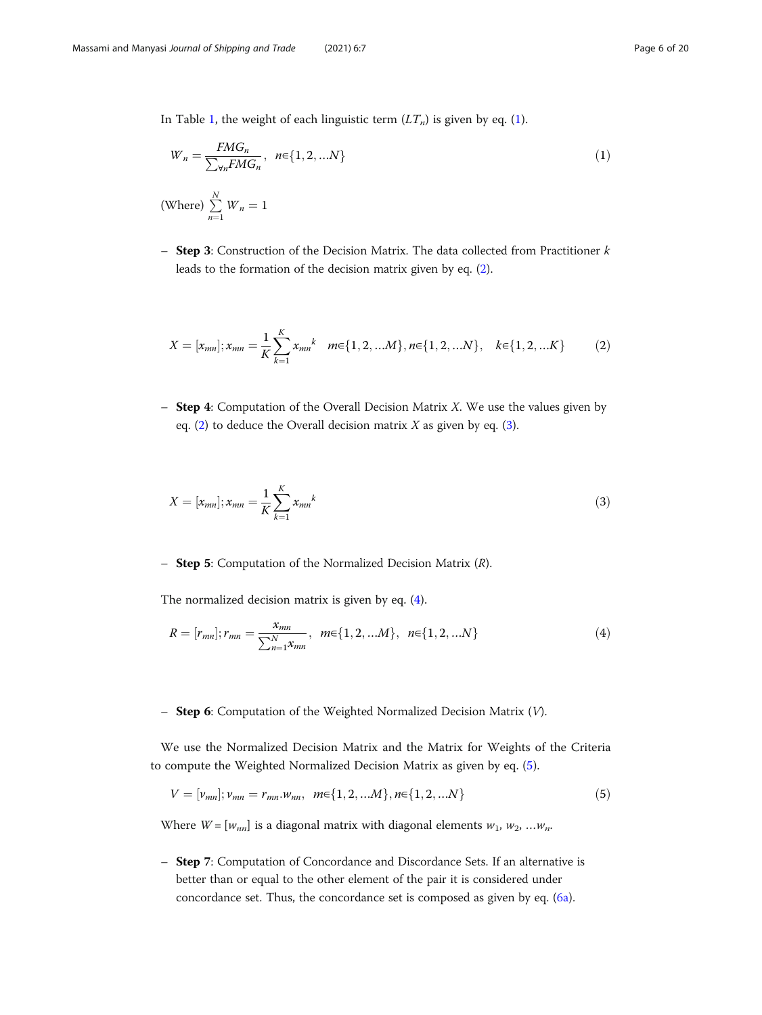<span id="page-5-0"></span>In Table [1](#page-4-0), the weight of each linguistic term  $(LT_n)$  is given by eq. (1).

$$
W_n = \frac{FMG_n}{\sum_{\forall n} FMG_n}, \quad n \in \{1, 2, \ldots N\}
$$
\n
$$
(1)
$$

(Where) 
$$
\sum_{n=1}^{N} W_n = 1
$$

- Step 3: Construction of the Decision Matrix. The data collected from Practitioner  $k$ leads to the formation of the decision matrix given by eq. (2).

$$
X = [x_{mn}]; x_{mn} = \frac{1}{K} \sum_{k=1}^{K} x_{mn}^{k} \quad m \in \{1, 2, ...M\}, n \in \{1, 2, ...N\}, \quad k \in \{1, 2, ...K\}
$$
 (2)

– **Step 4**: Computation of the Overall Decision Matrix X. We use the values given by eq.  $(2)$  to deduce the Overall decision matrix X as given by eq.  $(3)$ .

$$
X = [x_{mn}]; x_{mn} = \frac{1}{K} \sum_{k=1}^{K} x_{mn}^{k}
$$
 (3)

- **Step 5:** Computation of the Normalized Decision Matrix  $(R)$ .

The normalized decision matrix is given by eq. (4).

$$
R = [r_{mn}]; r_{mn} = \frac{x_{mn}}{\sum_{n=1}^{N} x_{mn}}, \ m \in \{1, 2, ...M\}, \ n \in \{1, 2, ...N\}
$$
 (4)

#### - Step 6: Computation of the Weighted Normalized Decision Matrix (V).

We use the Normalized Decision Matrix and the Matrix for Weights of the Criteria to compute the Weighted Normalized Decision Matrix as given by eq. (5).

$$
V = [\nu_{mn}]; \nu_{mn} = r_{mn}.\nu_{nn}, \ \ m \in \{1, 2, ...\ M\}, n \in \{1, 2, ...\ N\} \tag{5}
$$

Where  $W = [w_{nn}]$  is a diagonal matrix with diagonal elements  $w_1, w_2, ... w_n$ .

– Step 7: Computation of Concordance and Discordance Sets. If an alternative is better than or equal to the other element of the pair it is considered under concordance set. Thus, the concordance set is composed as given by eq. [\(6a\)](#page-6-0).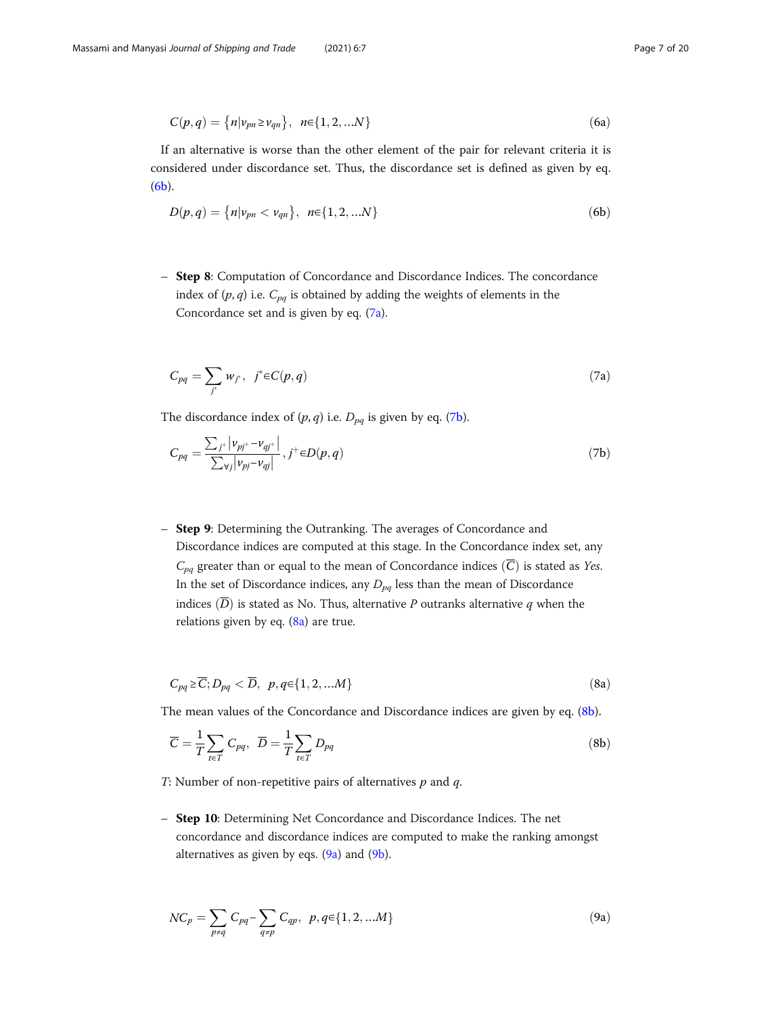<span id="page-6-0"></span>
$$
C(p,q) = \{n|v_{pn} \ge v_{qn}\}, \ \ n \in \{1,2,...N\} \tag{6a}
$$

If an alternative is worse than the other element of the pair for relevant criteria it is considered under discordance set. Thus, the discordance set is defined as given by eq. (6b).

$$
D(p,q) = \{n|v_{pn} < v_{qn}\}, \ \ n \in \{1, 2, ...N\}
$$
 (6b)

– Step 8: Computation of Concordance and Discordance Indices. The concordance index of  $(p, q)$  i.e.  $C_{pq}$  is obtained by adding the weights of elements in the Concordance set and is given by eq. (7a).

$$
C_{pq} = \sum_{j^*} w_{j^*}, \quad j^* \in C(p, q) \tag{7a}
$$

The discordance index of  $(p, q)$  i.e.  $D_{pq}$  is given by eq. (7b).

$$
C_{pq} = \frac{\sum_{j} |v_{pj} + v_{qj} + v_{qj}|}{\sum_{\forall j} |v_{pj} - v_{qj}|}, j^+ \in D(p, q)
$$
\n(7b)

– Step 9: Determining the Outranking. The averages of Concordance and Discordance indices are computed at this stage. In the Concordance index set, any  $C_{pq}$  greater than or equal to the mean of Concordance indices  $(\overline{C})$  is stated as *Yes*. In the set of Discordance indices, any  $D_{pq}$  less than the mean of Discordance indices  $(\overline{D})$  is stated as No. Thus, alternative P outranks alternative q when the relations given by eq.  $(8a)$  are true.

$$
C_{pq} \ge \overline{C}; D_{pq} < \overline{D}, \ p, q \in \{1, 2, \dots M\} \tag{8a}
$$

The mean values of the Concordance and Discordance indices are given by eq. (8b).

$$
\overline{C} = \frac{1}{T} \sum_{t \in T} C_{pq}, \ \overline{D} = \frac{1}{T} \sum_{t \in T} D_{pq}
$$
 (8b)

T: Number of non-repetitive pairs of alternatives  $p$  and  $q$ .

– Step 10: Determining Net Concordance and Discordance Indices. The net concordance and discordance indices are computed to make the ranking amongst alternatives as given by eqs.  $(9a)$  and  $(9b)$  $(9b)$ .

$$
NC_p = \sum_{p \neq q} C_{pq} - \sum_{q \neq p} C_{qp}, \ p, q \in \{1, 2, \dots M\}
$$
\n(9a)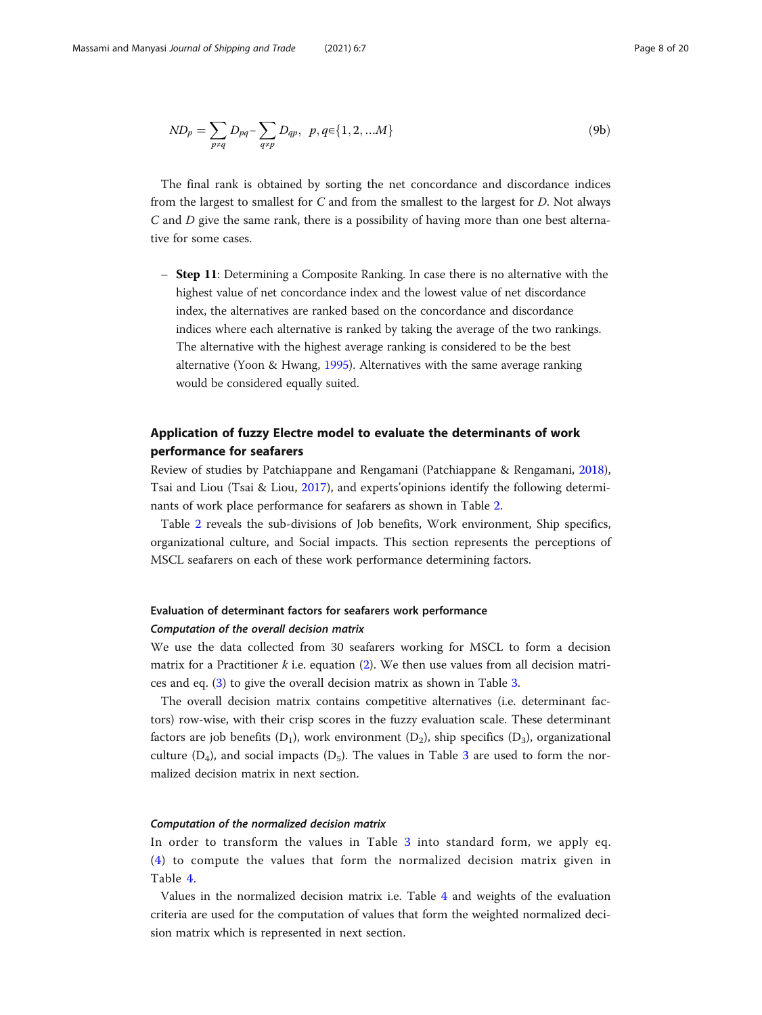<span id="page-7-0"></span>
$$
ND_p = \sum_{p \neq q} D_{pq} - \sum_{q \neq p} D_{qp}, \ p, q \in \{1, 2, \dots M\}
$$
\n(9b)

The final rank is obtained by sorting the net concordance and discordance indices from the largest to smallest for C and from the smallest to the largest for D. Not always C and D give the same rank, there is a possibility of having more than one best alternative for some cases.

– Step 11: Determining a Composite Ranking. In case there is no alternative with the highest value of net concordance index and the lowest value of net discordance index, the alternatives are ranked based on the concordance and discordance indices where each alternative is ranked by taking the average of the two rankings. The alternative with the highest average ranking is considered to be the best alternative (Yoon & Hwang, [1995\)](#page-18-0). Alternatives with the same average ranking would be considered equally suited.

# Application of fuzzy Electre model to evaluate the determinants of work performance for seafarers

Review of studies by Patchiappane and Rengamani (Patchiappane & Rengamani, [2018](#page-18-0)), Tsai and Liou (Tsai & Liou, [2017](#page-18-0)), and experts'opinions identify the following determinants of work place performance for seafarers as shown in Table [2](#page-8-0).

Table [2](#page-8-0) reveals the sub-divisions of Job benefits, Work environment, Ship specifics, organizational culture, and Social impacts. This section represents the perceptions of MSCL seafarers on each of these work performance determining factors.

# Evaluation of determinant factors for seafarers work performance Computation of the overall decision matrix

We use the data collected from 30 seafarers working for MSCL to form a decision matrix for a Practitioner  $k$  i.e. equation [\(2\)](#page-5-0). We then use values from all decision matrices and eq. ([3\)](#page-5-0) to give the overall decision matrix as shown in Table [3.](#page-8-0)

The overall decision matrix contains competitive alternatives (i.e. determinant factors) row-wise, with their crisp scores in the fuzzy evaluation scale. These determinant factors are job benefits  $(D_1)$ , work environment  $(D_2)$ , ship specifics  $(D_3)$ , organizational culture  $(D_4)$ , and social impacts  $(D_5)$ . The values in Table [3](#page-8-0) are used to form the normalized decision matrix in next section.

#### Computation of the normalized decision matrix

In order to transform the values in Table [3](#page-8-0) into standard form, we apply eq. ([4](#page-5-0)) to compute the values that form the normalized decision matrix given in Table [4](#page-9-0).

Values in the normalized decision matrix i.e. Table [4](#page-9-0) and weights of the evaluation criteria are used for the computation of values that form the weighted normalized decision matrix which is represented in next section.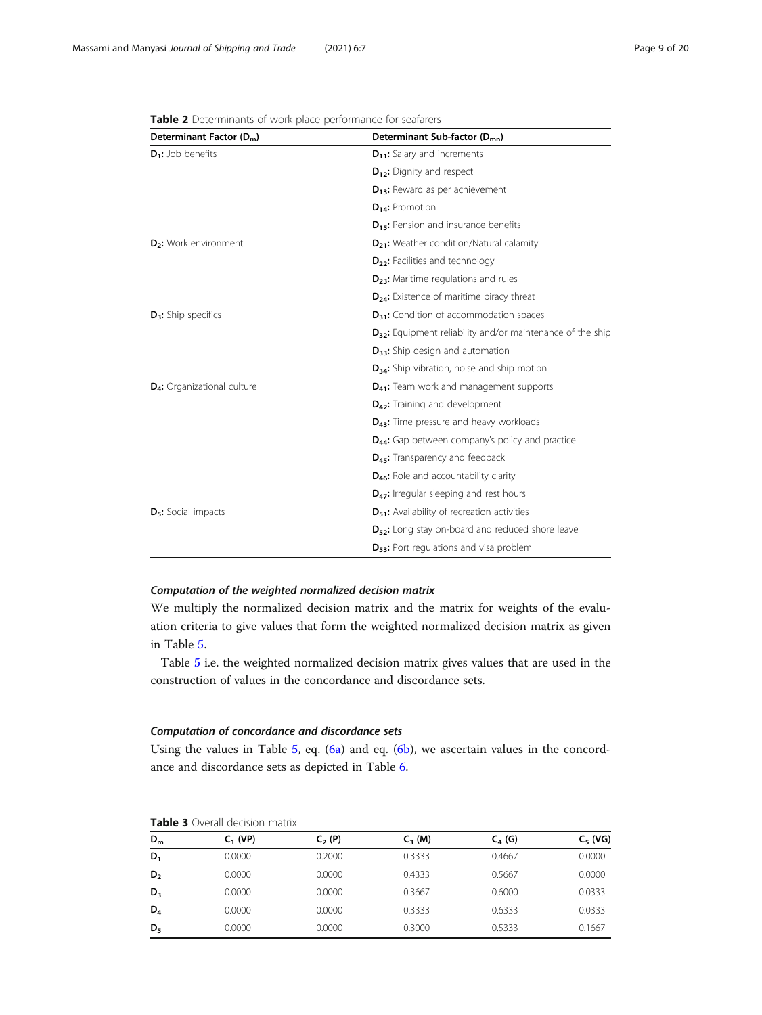| Determinant Factor (D <sub>m</sub> )    | Determinant Sub-factor (D <sub>mn</sub> )                              |  |  |
|-----------------------------------------|------------------------------------------------------------------------|--|--|
| $D_1$ : Job benefits                    | D <sub>11</sub> : Salary and increments                                |  |  |
|                                         | D <sub>12</sub> : Dignity and respect                                  |  |  |
|                                         | $D_{13}$ : Reward as per achievement                                   |  |  |
|                                         | $D_{14}$ : Promotion                                                   |  |  |
|                                         | D <sub>15</sub> : Pension and insurance benefits                       |  |  |
| D <sub>2</sub> : Work environment       | D <sub>21</sub> : Weather condition/Natural calamity                   |  |  |
|                                         | D <sub>22</sub> : Facilities and technology                            |  |  |
|                                         | D <sub>23</sub> : Maritime regulations and rules                       |  |  |
|                                         | D <sub>24</sub> : Existence of maritime piracy threat                  |  |  |
| $D_3$ : Ship specifics                  | D <sub>31</sub> : Condition of accommodation spaces                    |  |  |
|                                         | D <sub>32</sub> : Equipment reliability and/or maintenance of the ship |  |  |
|                                         | $D_{33}$ : Ship design and automation                                  |  |  |
|                                         | D <sub>34</sub> : Ship vibration, noise and ship motion                |  |  |
| D <sub>4</sub> : Organizational culture | D <sub>41</sub> : Team work and management supports                    |  |  |
|                                         | D <sub>42</sub> : Training and development                             |  |  |
|                                         | D <sub>43</sub> : Time pressure and heavy workloads                    |  |  |
|                                         | D <sub>44</sub> : Gap between company's policy and practice            |  |  |
|                                         | D <sub>45</sub> : Transparency and feedback                            |  |  |
|                                         | D <sub>46</sub> : Role and accountability clarity                      |  |  |
|                                         | $D_{47}$ : Irregular sleeping and rest hours                           |  |  |
| D <sub>5</sub> : Social impacts         | D <sub>51</sub> : Availability of recreation activities                |  |  |
|                                         | D <sub>52</sub> : Long stay on-board and reduced shore leave           |  |  |
|                                         | D <sub>53</sub> : Port regulations and visa problem                    |  |  |

<span id="page-8-0"></span>Table 2 Determinants of work place performance for seafarers

### Computation of the weighted normalized decision matrix

We multiply the normalized decision matrix and the matrix for weights of the evaluation criteria to give values that form the weighted normalized decision matrix as given in Table [5](#page-9-0).

Table [5](#page-9-0) i.e. the weighted normalized decision matrix gives values that are used in the construction of values in the concordance and discordance sets.

#### Computation of concordance and discordance sets

Using the values in Table  $5$ , eq.  $(6a)$  and eq.  $(6b)$  $(6b)$ , we ascertain values in the concordance and discordance sets as depicted in Table [6](#page-10-0).

|                | <b>TUDIC J</b> OVERIL UCCISION HIGHLIA |          |             |           |            |  |  |  |
|----------------|----------------------------------------|----------|-------------|-----------|------------|--|--|--|
| $D_m$          | $C_1$ (VP)                             | $C2$ (P) | $C_{3}$ (M) | $C_4$ (G) | $C_5$ (VG) |  |  |  |
| $D_1$          | 0.0000                                 | 0.2000   | 0.3333      | 0.4667    | 0.0000     |  |  |  |
| D <sub>2</sub> | 0.0000                                 | 0.0000   | 0.4333      | 0.5667    | 0.0000     |  |  |  |
| $D_3$          | 0.0000                                 | 0.0000   | 0.3667      | 0.6000    | 0.0333     |  |  |  |
| $D_4$          | 0.0000                                 | 0.0000   | 0.3333      | 0.6333    | 0.0333     |  |  |  |
| $D_5$          | 0.0000                                 | 0.0000   | 0.3000      | 0.5333    | 0.1667     |  |  |  |

Table 3 Overall decision matrix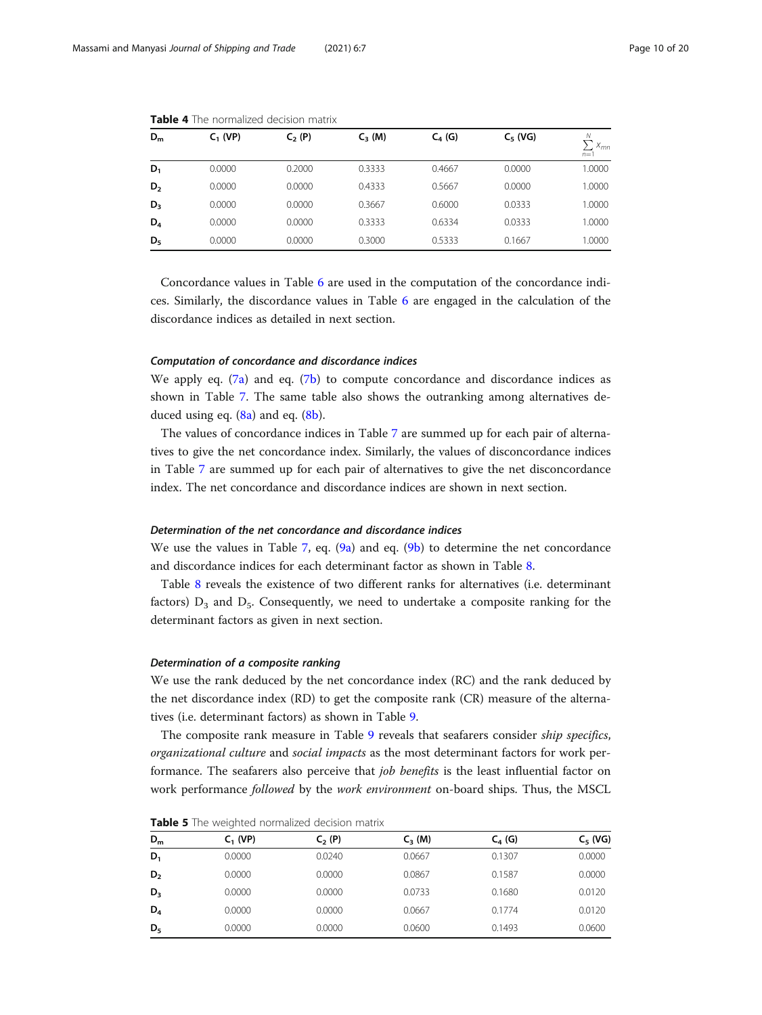| $D_m$          | $C_1$ (VP) | $C_2(P)$ | $C_3$ (M) | $C_4(G)$ | $C_5$ (VG) | Ν<br>$X_{mn}$<br>$n=1$ |
|----------------|------------|----------|-----------|----------|------------|------------------------|
| $D_1$          | 0.0000     | 0.2000   | 0.3333    | 0.4667   | 0.0000     | 1.0000                 |
| D <sub>2</sub> | 0.0000     | 0.0000   | 0.4333    | 0.5667   | 0.0000     | 1.0000                 |
| $D_3$          | 0.0000     | 0.0000   | 0.3667    | 0.6000   | 0.0333     | 1.0000                 |
| $D_4$          | 0.0000     | 0.0000   | 0.3333    | 0.6334   | 0.0333     | 1.0000                 |
| $D_5$          | 0.0000     | 0.0000   | 0.3000    | 0.5333   | 0.1667     | 1.0000                 |

<span id="page-9-0"></span>Table 4 The normalized decision matrix

Concordance values in Table [6](#page-10-0) are used in the computation of the concordance indices. Similarly, the discordance values in Table [6](#page-10-0) are engaged in the calculation of the discordance indices as detailed in next section.

#### Computation of concordance and discordance indices

We apply eq.  $(7a)$  $(7a)$  $(7a)$  and eq.  $(7b)$  to compute concordance and discordance indices as shown in Table [7](#page-10-0). The same table also shows the outranking among alternatives deduced using eq.  $(8a)$  $(8a)$  $(8a)$  and eq.  $(8b)$  $(8b)$ .

The values of concordance indices in Table [7](#page-10-0) are summed up for each pair of alternatives to give the net concordance index. Similarly, the values of disconcordance indices in Table [7](#page-10-0) are summed up for each pair of alternatives to give the net disconcordance index. The net concordance and discordance indices are shown in next section.

#### Determination of the net concordance and discordance indices

We use the values in Table [7](#page-10-0), eq.  $(9a)$  and eq.  $(9b)$  $(9b)$  to determine the net concordance and discordance indices for each determinant factor as shown in Table [8](#page-11-0).

Table [8](#page-11-0) reveals the existence of two different ranks for alternatives (i.e. determinant factors)  $D_3$  and  $D_5$ . Consequently, we need to undertake a composite ranking for the determinant factors as given in next section.

#### Determination of a composite ranking

We use the rank deduced by the net concordance index (RC) and the rank deduced by the net discordance index (RD) to get the composite rank (CR) measure of the alternatives (i.e. determinant factors) as shown in Table [9](#page-11-0).

The composite rank measure in Table [9](#page-11-0) reveals that seafarers consider *ship specifics*, organizational culture and social impacts as the most determinant factors for work performance. The seafarers also perceive that job benefits is the least influential factor on work performance followed by the work environment on-board ships. Thus, the MSCL

**Table 5** The weighted normalized decision matrix

| $D_m$          | $C_1$ (VP) | $C_2(P)$ | $C_{3}$ (M) | $C_4$ (G) | $C_5$ (VG) |  |  |
|----------------|------------|----------|-------------|-----------|------------|--|--|
| $D_1$          | 0.0000     | 0.0240   | 0.0667      | 0.1307    | 0.0000     |  |  |
| D <sub>2</sub> | 0.0000     | 0.0000   | 0.0867      | 0.1587    | 0.0000     |  |  |
| $D_3$          | 0.0000     | 0.0000   | 0.0733      | 0.1680    | 0.0120     |  |  |
| $D_4$          | 0.0000     | 0.0000   | 0.0667      | 0.1774    | 0.0120     |  |  |
| $D_5$          | 0.0000     | 0.0000   | 0.0600      | 0.1493    | 0.0600     |  |  |
|                |            |          |             |           |            |  |  |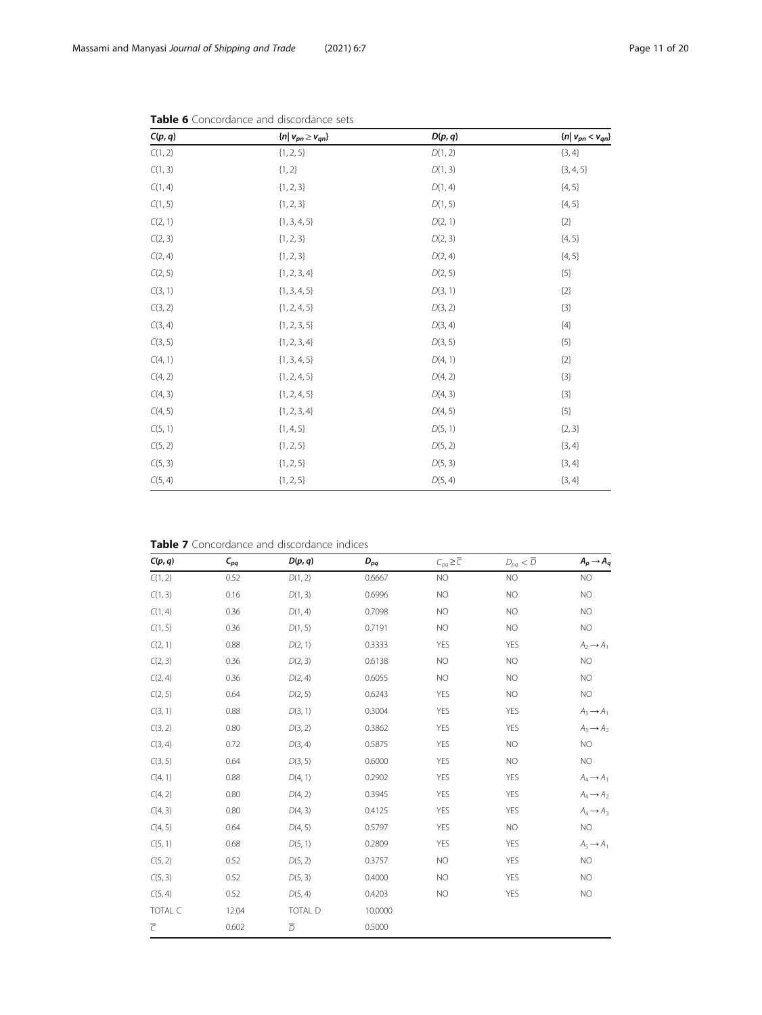| C(p, q) | $\{n \mid v_{pn} \geq v_{qn}\}$ | D(p, q) | $\{n \mid v_{pn} < v_{qn}\}\$ |
|---------|---------------------------------|---------|-------------------------------|
| C(1, 2) | ${1, 2, 5}$                     | D(1, 2) | ${3, 4}$                      |
| C(1, 3) | ${1, 2}$                        | D(1, 3) | ${3, 4, 5}$                   |
| C(1, 4) | ${1, 2, 3}$                     | D(1, 4) | ${4, 5}$                      |
| C(1, 5) | ${1, 2, 3}$                     | D(1, 5) | ${4, 5}$                      |
| C(2, 1) | $\{1, 3, 4, 5\}$                | D(2, 1) | ${2}$                         |
| C(2, 3) | ${1, 2, 3}$                     | D(2, 3) | ${4, 5}$                      |
| C(2, 4) | ${1, 2, 3}$                     | D(2, 4) | ${4, 5}$                      |
| C(2, 5) | ${1, 2, 3, 4}$                  | D(2, 5) | ${5}$                         |
| C(3, 1) | $\{1, 3, 4, 5\}$                | D(3, 1) | ${2}$                         |
| C(3, 2) | ${1, 2, 4, 5}$                  | D(3, 2) | ${3}$                         |
| C(3, 4) | $\{1, 2, 3, 5\}$                | D(3, 4) | $\{4\}$                       |
| C(3, 5) | ${1, 2, 3, 4}$                  | D(3, 5) | ${5}$                         |
| C(4, 1) | $\{1, 3, 4, 5\}$                | D(4, 1) | ${2}$                         |
| C(4, 2) | ${1, 2, 4, 5}$                  | D(4, 2) | ${3}$                         |
| C(4, 3) | ${1, 2, 4, 5}$                  | D(4, 3) | ${3}$                         |
| C(4, 5) | ${1, 2, 3, 4}$                  | D(4, 5) | ${5}$                         |
| C(5, 1) | $\{1, 4, 5\}$                   | D(5, 1) | ${2, 3}$                      |
| C(5, 2) | ${1, 2, 5}$                     | D(5, 2) | ${3, 4}$                      |
| C(5, 3) | ${1, 2, 5}$                     | D(5, 3) | ${3, 4}$                      |
| C(5, 4) | ${1, 2, 5}$                     | D(5, 4) | ${3, 4}$                      |

<span id="page-10-0"></span>

Table 7 Concordance and discordance indices

| C(p, q)        | $C_{pq}$ | D(p, q)        | $D_{pq}$ | $C_{pq} \geq \overline{C}$ | $D_{pq}<\overline{D}$ | $A_p \rightarrow A_q$ |
|----------------|----------|----------------|----------|----------------------------|-----------------------|-----------------------|
| C(1, 2)        | 0.52     | D(1, 2)        | 0.6667   | NO                         | NO                    | NO                    |
| C(1, 3)        | 0.16     | D(1, 3)        | 0.6996   | NO                         | NO                    | <b>NO</b>             |
| C(1, 4)        | 0.36     | D(1, 4)        | 0.7098   | NO                         | NO                    | <b>NO</b>             |
| C(1, 5)        | 0.36     | D(1, 5)        | 0.7191   | NO                         | NO                    | NO                    |
| C(2, 1)        | 0.88     | D(2, 1)        | 0.3333   | <b>YES</b>                 | <b>YES</b>            | $A_2 \rightarrow A_1$ |
| C(2, 3)        | 0.36     | D(2, 3)        | 0.6138   | NO                         | NO                    | NO                    |
| C(2, 4)        | 0.36     | D(2, 4)        | 0.6055   | NO                         | NO                    | <b>NO</b>             |
| C(2, 5)        | 0.64     | D(2, 5)        | 0.6243   | <b>YES</b>                 | NO                    | NO                    |
| C(3, 1)        | 0.88     | D(3, 1)        | 0.3004   | <b>YES</b>                 | YES                   | $A_3 \rightarrow A_1$ |
| C(3, 2)        | 0.80     | D(3, 2)        | 0.3862   | YES                        | YES                   | $A_3 \rightarrow A_2$ |
| C(3, 4)        | 0.72     | D(3, 4)        | 0.5875   | <b>YES</b>                 | NO                    | <b>NO</b>             |
| C(3, 5)        | 0.64     | D(3, 5)        | 0.6000   | <b>YES</b>                 | NO                    | <b>NO</b>             |
| C(4, 1)        | 0.88     | D(4, 1)        | 0.2902   | <b>YES</b>                 | YES                   | $A_4 \rightarrow A_1$ |
| C(4, 2)        | 0.80     | D(4, 2)        | 0.3945   | <b>YES</b>                 | YES                   | $A_4 \rightarrow A_2$ |
| C(4, 3)        | 0.80     | D(4, 3)        | 0.4125   | <b>YES</b>                 | YES                   | $A_4 \rightarrow A_3$ |
| C(4, 5)        | 0.64     | D(4, 5)        | 0.5797   | <b>YES</b>                 | NO                    | NO                    |
| C(5, 1)        | 0.68     | D(5, 1)        | 0.2809   | <b>YES</b>                 | <b>YES</b>            | $A_5 \rightarrow A_1$ |
| C(5, 2)        | 0.52     | D(5, 2)        | 0.3757   | NO                         | YES                   | NO                    |
| C(5, 3)        | 0.52     | D(5, 3)        | 0.4000   | NO                         | YES                   | <b>NO</b>             |
| C(5, 4)        | 0.52     | D(5, 4)        | 0.4203   | NO                         | YES                   | <b>NO</b>             |
| TOTAL C        | 12.04    | TOTAL D        | 10.0000  |                            |                       |                       |
| $\overline{C}$ | 0.602    | $\overline{D}$ | 0.5000   |                            |                       |                       |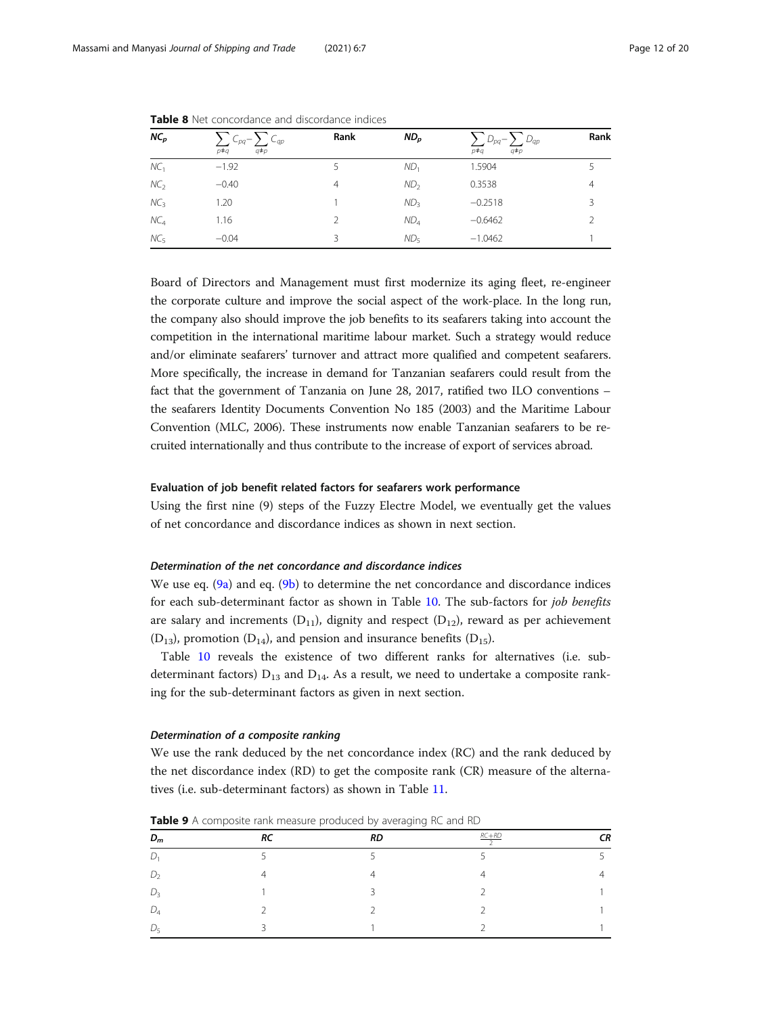| NC <sub>D</sub> | $\sum_{p \neq q} C_{pq} - \sum_{q \neq p} C_{qp}$<br>$p \neq q$ | Rank | ND <sub>p</sub> | $\sum_{p\neq q} D_{pq} - \sum_{q\neq p} D_{qp}$ | Rank |
|-----------------|-----------------------------------------------------------------|------|-----------------|-------------------------------------------------|------|
| NC <sub>1</sub> | $-1.92$                                                         |      | ND <sub>1</sub> | 1.5904                                          |      |
| NC <sub>2</sub> | $-0.40$                                                         | 4    | ND <sub>2</sub> | 0.3538                                          | 4    |
| NC <sub>3</sub> | 1.20                                                            |      | ND <sub>3</sub> | $-0.2518$                                       | 3    |
| NC <sub>4</sub> | 1.16                                                            |      | ND <sub>4</sub> | $-0.6462$                                       | C.   |
| NC <sub>5</sub> | $-0.04$                                                         |      | $ND_{5}$        | $-1.0462$                                       |      |

<span id="page-11-0"></span>Table 8 Net concordance and discordance indices

Board of Directors and Management must first modernize its aging fleet, re-engineer the corporate culture and improve the social aspect of the work-place. In the long run, the company also should improve the job benefits to its seafarers taking into account the competition in the international maritime labour market. Such a strategy would reduce and/or eliminate seafarers' turnover and attract more qualified and competent seafarers. More specifically, the increase in demand for Tanzanian seafarers could result from the fact that the government of Tanzania on June 28, 2017, ratified two ILO conventions – the seafarers Identity Documents Convention No 185 (2003) and the Maritime Labour Convention (MLC, 2006). These instruments now enable Tanzanian seafarers to be recruited internationally and thus contribute to the increase of export of services abroad.

#### Evaluation of job benefit related factors for seafarers work performance

Using the first nine (9) steps of the Fuzzy Electre Model, we eventually get the values of net concordance and discordance indices as shown in next section.

#### Determination of the net concordance and discordance indices

We use eq.  $(9a)$  and eq.  $(9b)$  $(9b)$  to determine the net concordance and discordance indices for each sub-determinant factor as shown in Table [10](#page-12-0). The sub-factors for job benefits are salary and increments  $(D_{11})$ , dignity and respect  $(D_{12})$ , reward as per achievement  $(D_{13})$ , promotion  $(D_{14})$ , and pension and insurance benefits  $(D_{15})$ .

Table [10](#page-12-0) reveals the existence of two different ranks for alternatives (i.e. subdeterminant factors)  $D_{13}$  and  $D_{14}$ . As a result, we need to undertake a composite ranking for the sub-determinant factors as given in next section.

#### Determination of a composite ranking

We use the rank deduced by the net concordance index (RC) and the rank deduced by the net discordance index (RD) to get the composite rank (CR) measure of the alternatives (i.e. sub-determinant factors) as shown in Table [11.](#page-12-0)

| $D_m$          | RC        | <b>RD</b>     | $RC+RD$ | СR |  |
|----------------|-----------|---------------|---------|----|--|
| D.             |           |               |         |    |  |
| D <sub>2</sub> | $\Lambda$ |               |         | 4  |  |
| $D_3$          |           | $\mathcal{D}$ |         |    |  |
| $D_4$          |           |               |         |    |  |
| $D_5$          |           |               |         |    |  |
|                |           |               |         |    |  |

Table 9 A composite rank measure produced by averaging RC and RD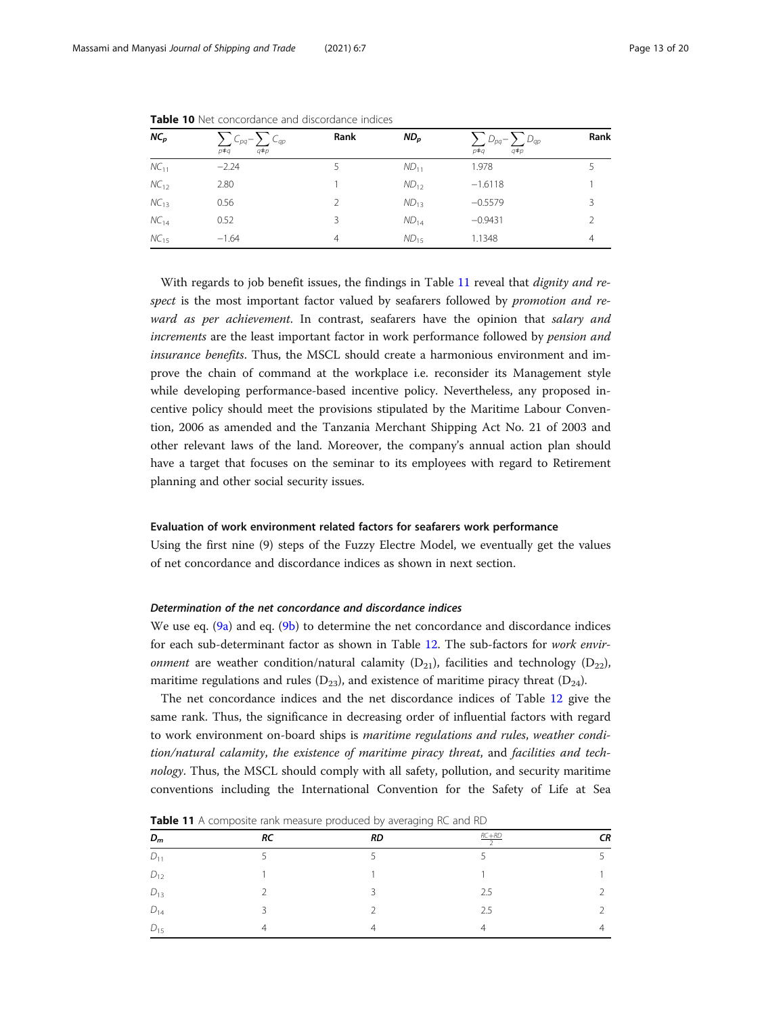| $NC_{p}$  | $\sum_{p\neq q} C_{pq} - \sum_{q\neq p} C_{qp}$ | Rank | ND <sub>p</sub> | $\sum_{p\neq q} D_{pq} - \sum_{q\neq p} D_{qp}$<br>$p \neq q$ | Rank          |
|-----------|-------------------------------------------------|------|-----------------|---------------------------------------------------------------|---------------|
| $NC_{11}$ | $-2.24$                                         |      | $ND_{11}$       | 1.978                                                         |               |
| $NC_{12}$ | 2.80                                            |      | $ND_{12}$       | $-1.6118$                                                     |               |
| $NC_{13}$ | 0.56                                            |      | $ND_{13}$       | $-0.5579$                                                     | 3             |
| $NC_{14}$ | 0.52                                            | 3    | $ND_{14}$       | $-0.9431$                                                     | $\mathcal{P}$ |
| $NC_{15}$ | $-1.64$                                         | 4    | $ND_{15}$       | 1.1348                                                        | 4             |

<span id="page-12-0"></span>Table 10 Net concordance and discordance indices

With regards to job benefit issues, the findings in Table 11 reveal that *dignity and re*spect is the most important factor valued by seafarers followed by *promotion and re*ward as per achievement. In contrast, seafarers have the opinion that salary and increments are the least important factor in work performance followed by pension and insurance benefits. Thus, the MSCL should create a harmonious environment and improve the chain of command at the workplace i.e. reconsider its Management style while developing performance-based incentive policy. Nevertheless, any proposed incentive policy should meet the provisions stipulated by the Maritime Labour Convention, 2006 as amended and the Tanzania Merchant Shipping Act No. 21 of 2003 and other relevant laws of the land. Moreover, the company's annual action plan should have a target that focuses on the seminar to its employees with regard to Retirement planning and other social security issues.

#### Evaluation of work environment related factors for seafarers work performance

Using the first nine (9) steps of the Fuzzy Electre Model, we eventually get the values of net concordance and discordance indices as shown in next section.

#### Determination of the net concordance and discordance indices

We use eq. [\(9a\)](#page-6-0) and eq. ([9b\)](#page-7-0) to determine the net concordance and discordance indices for each sub-determinant factor as shown in Table [12](#page-13-0). The sub-factors for work envir*onment* are weather condition/natural calamity  $(D_{21})$ , facilities and technology  $(D_{22})$ , maritime regulations and rules  $(D_{23})$ , and existence of maritime piracy threat  $(D_{24})$ .

The net concordance indices and the net discordance indices of Table [12](#page-13-0) give the same rank. Thus, the significance in decreasing order of influential factors with regard to work environment on-board ships is maritime regulations and rules, weather condition/natural calamity, the existence of maritime piracy threat, and facilities and technology. Thus, the MSCL should comply with all safety, pollution, and security maritime conventions including the International Convention for the Safety of Life at Sea

 $D_m$  RC RD REFRE  $\frac{+RD}{2}$  CR  $D_{11}$  5 5 5 5 5  $D_{12}$  1 1 1 1  $D_{13}$  2 3 3 2.5 2  $D_{14}$  3 2 2.5 2  $D_{15}$  4 4 4 4

Table 11 A composite rank measure produced by averaging RC and RD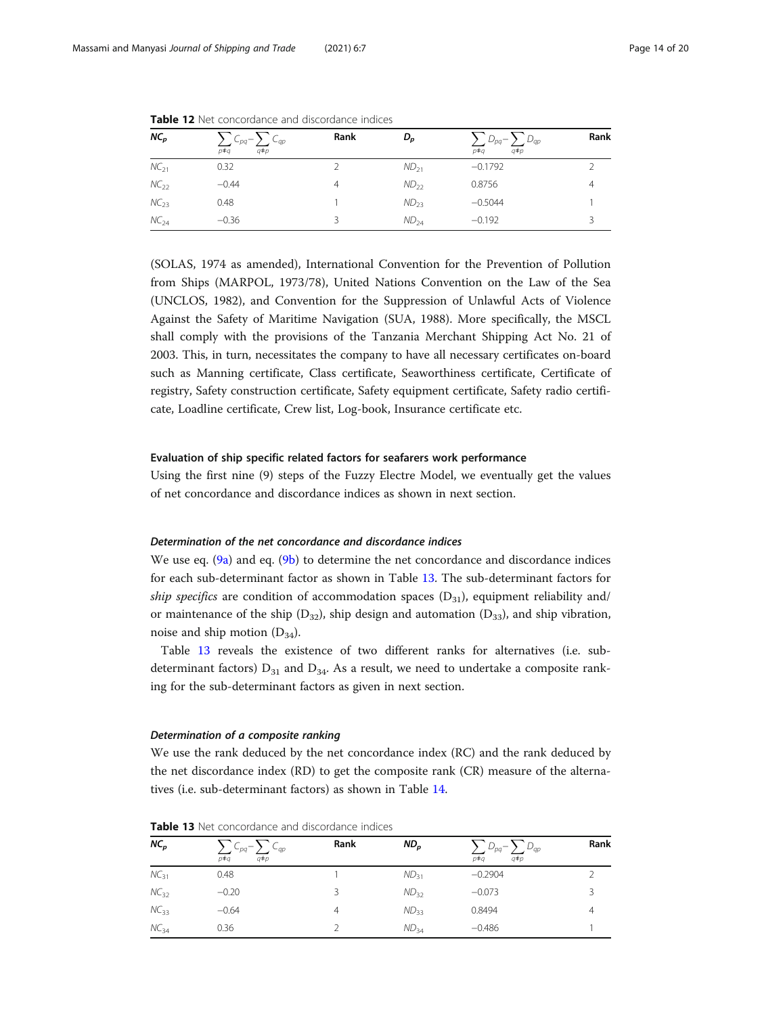| $NC_{p}$  | $\sum C_{pq} - \sum C_{qp}$<br>$q \neq p$<br>$p \neq q$ | Rank | D <sub>p</sub> | $\sum D_{pq} - \sum D_{qp}$<br>$q \neq p$<br>p‡a | Rank |
|-----------|---------------------------------------------------------|------|----------------|--------------------------------------------------|------|
| $NC_{21}$ | 0.32                                                    |      | $ND_{21}$      | $-0.1792$                                        |      |
| $NC_{22}$ | $-0.44$                                                 | 4    | $ND_{22}$      | 0.8756                                           | 4    |
| $NC_{23}$ | 0.48                                                    |      | $ND_{23}$      | $-0.5044$                                        |      |
| $NC_{24}$ | $-0.36$                                                 |      | $ND_{24}$      | $-0.192$                                         |      |

<span id="page-13-0"></span>**Table 12** Net concordance and discordance indices

(SOLAS, 1974 as amended), International Convention for the Prevention of Pollution from Ships (MARPOL, 1973/78), United Nations Convention on the Law of the Sea (UNCLOS, 1982), and Convention for the Suppression of Unlawful Acts of Violence Against the Safety of Maritime Navigation (SUA, 1988). More specifically, the MSCL shall comply with the provisions of the Tanzania Merchant Shipping Act No. 21 of 2003. This, in turn, necessitates the company to have all necessary certificates on-board such as Manning certificate, Class certificate, Seaworthiness certificate, Certificate of registry, Safety construction certificate, Safety equipment certificate, Safety radio certificate, Loadline certificate, Crew list, Log-book, Insurance certificate etc.

#### Evaluation of ship specific related factors for seafarers work performance

Using the first nine (9) steps of the Fuzzy Electre Model, we eventually get the values of net concordance and discordance indices as shown in next section.

#### Determination of the net concordance and discordance indices

We use eq. [\(9a\)](#page-6-0) and eq. ([9b\)](#page-7-0) to determine the net concordance and discordance indices for each sub-determinant factor as shown in Table 13. The sub-determinant factors for ship specifics are condition of accommodation spaces  $(D_{31})$ , equipment reliability and/ or maintenance of the ship  $(D_{32})$ , ship design and automation  $(D_{33})$ , and ship vibration, noise and ship motion  $(D_{34})$ .

Table 13 reveals the existence of two different ranks for alternatives (i.e. subdeterminant factors)  $D_{31}$  and  $D_{34}$ . As a result, we need to undertake a composite ranking for the sub-determinant factors as given in next section.

#### Determination of a composite ranking

We use the rank deduced by the net concordance index (RC) and the rank deduced by the net discordance index (RD) to get the composite rank (CR) measure of the alternatives (i.e. sub-determinant factors) as shown in Table [14.](#page-14-0)

| $NC_p$           | $C_{pq} - \sum C_{qp}$<br>$q \neq p$<br>p‡q | Rank | $ND_{p}$  | $D_{pq} - \sum D_{qp}$<br>$q \neq p$<br>p‡q | Rank |
|------------------|---------------------------------------------|------|-----------|---------------------------------------------|------|
| $NC_{31}$        | 0.48                                        |      | $ND_{31}$ | $-0.2904$                                   |      |
| $NC_{32}$        | $-0.20$                                     | 3    | $ND_{32}$ | $-0.073$                                    |      |
| $NC_{33}$        | $-0.64$                                     | 4    | $ND_{33}$ | 0.8494                                      | 4    |
| NC <sub>34</sub> | 0.36                                        |      | $ND_{34}$ | $-0.486$                                    |      |

Table 13 Net concordance and discordance indices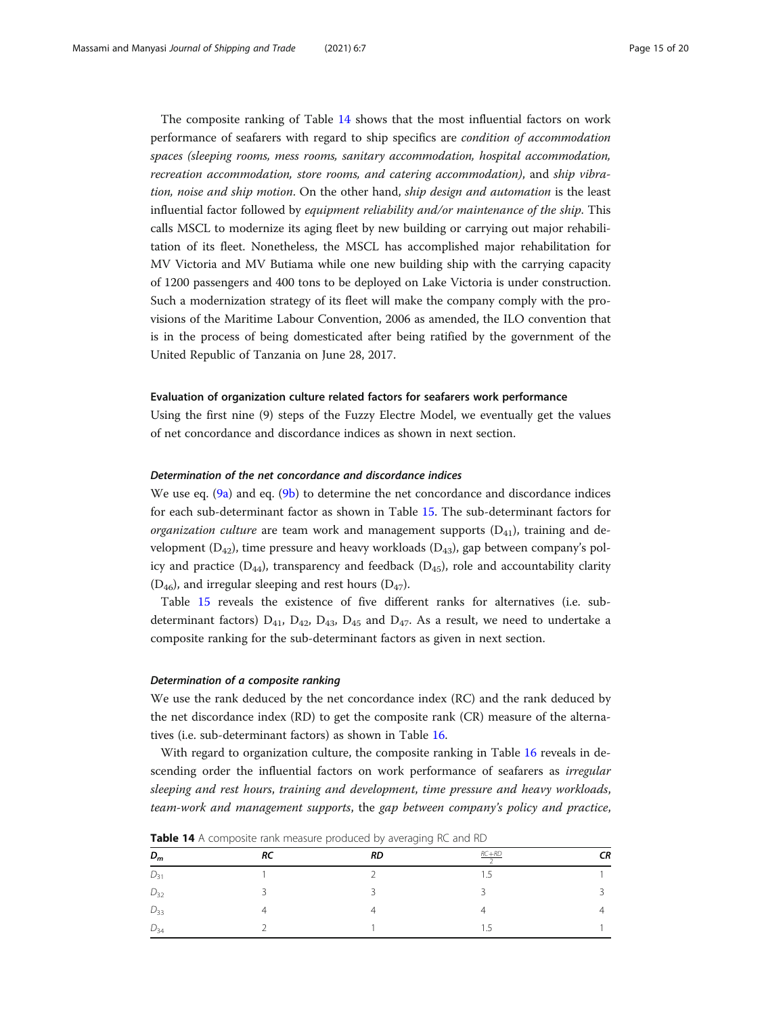<span id="page-14-0"></span>The composite ranking of Table 14 shows that the most influential factors on work performance of seafarers with regard to ship specifics are condition of accommodation spaces (sleeping rooms, mess rooms, sanitary accommodation, hospital accommodation, recreation accommodation, store rooms, and catering accommodation), and ship vibration, noise and ship motion. On the other hand, ship design and automation is the least influential factor followed by equipment reliability and/or maintenance of the ship. This calls MSCL to modernize its aging fleet by new building or carrying out major rehabilitation of its fleet. Nonetheless, the MSCL has accomplished major rehabilitation for MV Victoria and MV Butiama while one new building ship with the carrying capacity of 1200 passengers and 400 tons to be deployed on Lake Victoria is under construction. Such a modernization strategy of its fleet will make the company comply with the provisions of the Maritime Labour Convention, 2006 as amended, the ILO convention that is in the process of being domesticated after being ratified by the government of the United Republic of Tanzania on June 28, 2017.

#### Evaluation of organization culture related factors for seafarers work performance

Using the first nine (9) steps of the Fuzzy Electre Model, we eventually get the values of net concordance and discordance indices as shown in next section.

#### Determination of the net concordance and discordance indices

We use eq.  $(9a)$  and eq.  $(9b)$  $(9b)$  to determine the net concordance and discordance indices for each sub-determinant factor as shown in Table [15.](#page-15-0) The sub-determinant factors for *organization culture* are team work and management supports  $(D_{41})$ , training and development  $(D_{42})$ , time pressure and heavy workloads  $(D_{43})$ , gap between company's policy and practice  $(D_{44})$ , transparency and feedback  $(D_{45})$ , role and accountability clarity  $(D_{46})$ , and irregular sleeping and rest hours  $(D_{47})$ .

Table [15](#page-15-0) reveals the existence of five different ranks for alternatives (i.e. subdeterminant factors)  $D_{41}$ ,  $D_{42}$ ,  $D_{43}$ ,  $D_{45}$  and  $D_{47}$ . As a result, we need to undertake a composite ranking for the sub-determinant factors as given in next section.

#### Determination of a composite ranking

We use the rank deduced by the net concordance index (RC) and the rank deduced by the net discordance index (RD) to get the composite rank (CR) measure of the alternatives (i.e. sub-determinant factors) as shown in Table [16.](#page-15-0)

With regard to organization culture, the composite ranking in Table [16](#page-15-0) reveals in descending order the influential factors on work performance of seafarers as *irregular* sleeping and rest hours, training and development, time pressure and heavy workloads, team-work and management supports, the gap between company's policy and practice,

|          |               | $\sim$                   |           |    |
|----------|---------------|--------------------------|-----------|----|
| $D_m$    | RC            | <b>RD</b>                | $RC+RD$   | CR |
| $D_{31}$ |               | $\overline{\phantom{0}}$ | - 5       |    |
| $D_{32}$ | $\mathcal{D}$ | $\overline{ }$           |           |    |
| $D_{33}$ |               |                          |           | 4  |
| $D_{34}$ |               |                          | . .<br>ر. |    |

**Table 14** A composite rank measure produced by averaging RC and RD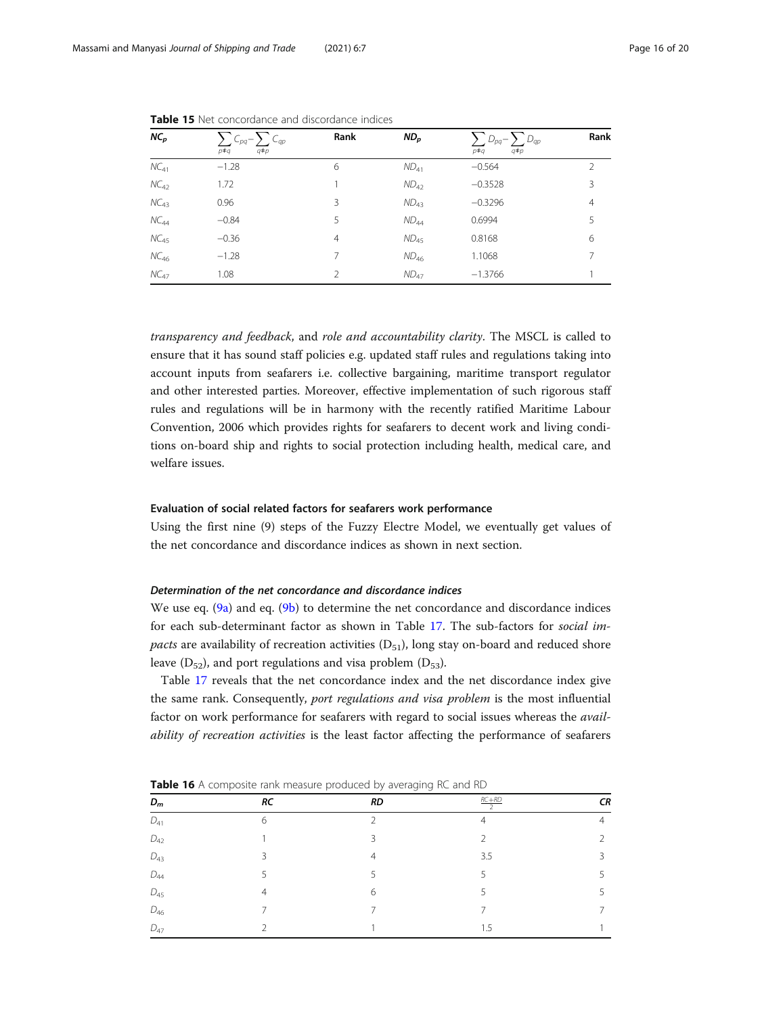| $NC_{p}$  | $\sum_{p \neq q} C_{pq} - \sum_{q \neq p} C_{qp}$<br>$p \neq q$ | Rank           | $ND_{p}$         | $\sum_{p\neq q} D_{pq} - \sum_{q\neq p} D_{qp}$<br>$p \neq q$ | Rank           |
|-----------|-----------------------------------------------------------------|----------------|------------------|---------------------------------------------------------------|----------------|
| $NC_{41}$ | $-1.28$                                                         | 6              | $ND_{41}$        | $-0.564$                                                      | $\mathcal{L}$  |
| $NC_{42}$ | 1.72                                                            |                | $ND_{42}$        | $-0.3528$                                                     | 3              |
| $NC_{43}$ | 0.96                                                            | 3              | ND <sub>43</sub> | $-0.3296$                                                     | $\overline{4}$ |
| $NC_{44}$ | $-0.84$                                                         | 5              | $ND_{44}$        | 0.6994                                                        | 5              |
| $NC_{45}$ | $-0.36$                                                         | $\overline{4}$ | $ND_{45}$        | 0.8168                                                        | 6              |
| $NC_{46}$ | $-1.28$                                                         | 7              | $ND_{46}$        | 1.1068                                                        | 7              |
| $NC_{47}$ | 1.08                                                            | $\mathfrak{D}$ | $ND_{47}$        | $-1.3766$                                                     |                |

<span id="page-15-0"></span>Table 15 Net concordance and discordance indices

transparency and feedback, and role and accountability clarity. The MSCL is called to ensure that it has sound staff policies e.g. updated staff rules and regulations taking into account inputs from seafarers i.e. collective bargaining, maritime transport regulator and other interested parties. Moreover, effective implementation of such rigorous staff rules and regulations will be in harmony with the recently ratified Maritime Labour Convention, 2006 which provides rights for seafarers to decent work and living conditions on-board ship and rights to social protection including health, medical care, and welfare issues.

#### Evaluation of social related factors for seafarers work performance

Using the first nine (9) steps of the Fuzzy Electre Model, we eventually get values of the net concordance and discordance indices as shown in next section.

#### Determination of the net concordance and discordance indices

We use eq.  $(9a)$  and eq.  $(9b)$  $(9b)$  to determine the net concordance and discordance indices for each sub-determinant factor as shown in Table [17.](#page-16-0) The sub-factors for social im*pacts* are availability of recreation activities  $(D_{51})$ , long stay on-board and reduced shore leave  $(D_{52})$ , and port regulations and visa problem  $(D_{53})$ .

Table [17](#page-16-0) reveals that the net concordance index and the net discordance index give the same rank. Consequently, port regulations and visa problem is the most influential factor on work performance for seafarers with regard to social issues whereas the availability of recreation activities is the least factor affecting the performance of seafarers

| $D_m$           | RC            | RD             | $RC+RD$<br>$\overline{ }$ | CR             |
|-----------------|---------------|----------------|---------------------------|----------------|
| ${\cal D}_{41}$ | 6             | $\mathcal{P}$  | $\overline{4}$            | $\overline{4}$ |
| $D_{42}$        |               | 3              | $\mathfrak{D}$            | 2              |
| $D_{43}$        | $\mathcal{S}$ | $\overline{4}$ | 3.5                       | 3              |
| $D_{44}$        | .5            | 5              | 5                         | 5              |
| $D_{45}$        | 4             | 6              |                           | 5              |
| $D_{46}$        | ⇁             | 7              | ⇁                         | 7              |
| $D_{47}$        | $\mathcal{D}$ |                | 1.5                       |                |

Table 16 A composite rank measure produced by averaging RC and RD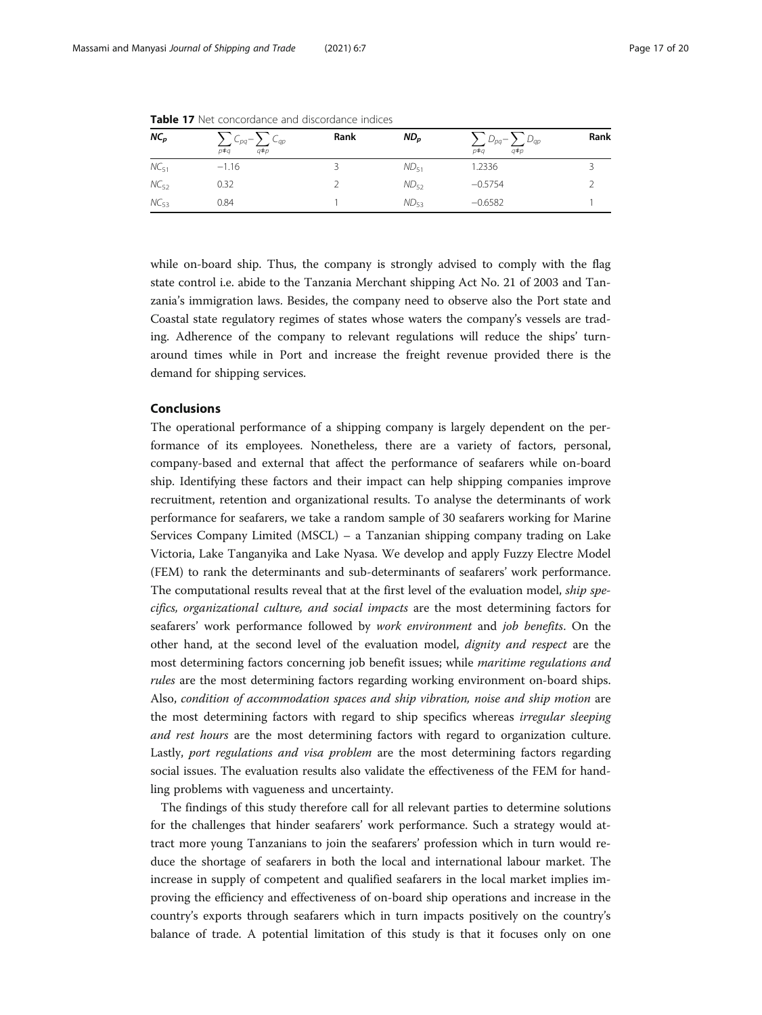| $NC_p$    | $\sum C_{pq} - \sum C_{qp}$<br>$q \neq p$<br>p‡a | Rank | $ND_{p}$  | $\sum D_{pq} - \sum D_{qp}$<br>p‡a<br>$q \neq p$ | Rank |
|-----------|--------------------------------------------------|------|-----------|--------------------------------------------------|------|
| $NC_{51}$ | $-1.16$                                          |      | $ND_{51}$ | 1.2336                                           |      |
| $NC_{52}$ | 0.32                                             |      | $ND_{52}$ | $-0.5754$                                        |      |
| $NC_{53}$ | 0.84                                             |      | $ND_{53}$ | $-0.6582$                                        |      |

<span id="page-16-0"></span>**Table 17** Net concordance and discordance indices

while on-board ship. Thus, the company is strongly advised to comply with the flag state control i.e. abide to the Tanzania Merchant shipping Act No. 21 of 2003 and Tanzania's immigration laws. Besides, the company need to observe also the Port state and Coastal state regulatory regimes of states whose waters the company's vessels are trading. Adherence of the company to relevant regulations will reduce the ships' turnaround times while in Port and increase the freight revenue provided there is the demand for shipping services.

#### Conclusions

The operational performance of a shipping company is largely dependent on the performance of its employees. Nonetheless, there are a variety of factors, personal, company-based and external that affect the performance of seafarers while on-board ship. Identifying these factors and their impact can help shipping companies improve recruitment, retention and organizational results. To analyse the determinants of work performance for seafarers, we take a random sample of 30 seafarers working for Marine Services Company Limited (MSCL) – a Tanzanian shipping company trading on Lake Victoria, Lake Tanganyika and Lake Nyasa. We develop and apply Fuzzy Electre Model (FEM) to rank the determinants and sub-determinants of seafarers' work performance. The computational results reveal that at the first level of the evaluation model, ship specifics, organizational culture, and social impacts are the most determining factors for seafarers' work performance followed by work environment and job benefits. On the other hand, at the second level of the evaluation model, dignity and respect are the most determining factors concerning job benefit issues; while maritime regulations and rules are the most determining factors regarding working environment on-board ships. Also, condition of accommodation spaces and ship vibration, noise and ship motion are the most determining factors with regard to ship specifics whereas *irregular sleeping* and rest hours are the most determining factors with regard to organization culture. Lastly, port regulations and visa problem are the most determining factors regarding social issues. The evaluation results also validate the effectiveness of the FEM for handling problems with vagueness and uncertainty.

The findings of this study therefore call for all relevant parties to determine solutions for the challenges that hinder seafarers' work performance. Such a strategy would attract more young Tanzanians to join the seafarers' profession which in turn would reduce the shortage of seafarers in both the local and international labour market. The increase in supply of competent and qualified seafarers in the local market implies improving the efficiency and effectiveness of on-board ship operations and increase in the country's exports through seafarers which in turn impacts positively on the country's balance of trade. A potential limitation of this study is that it focuses only on one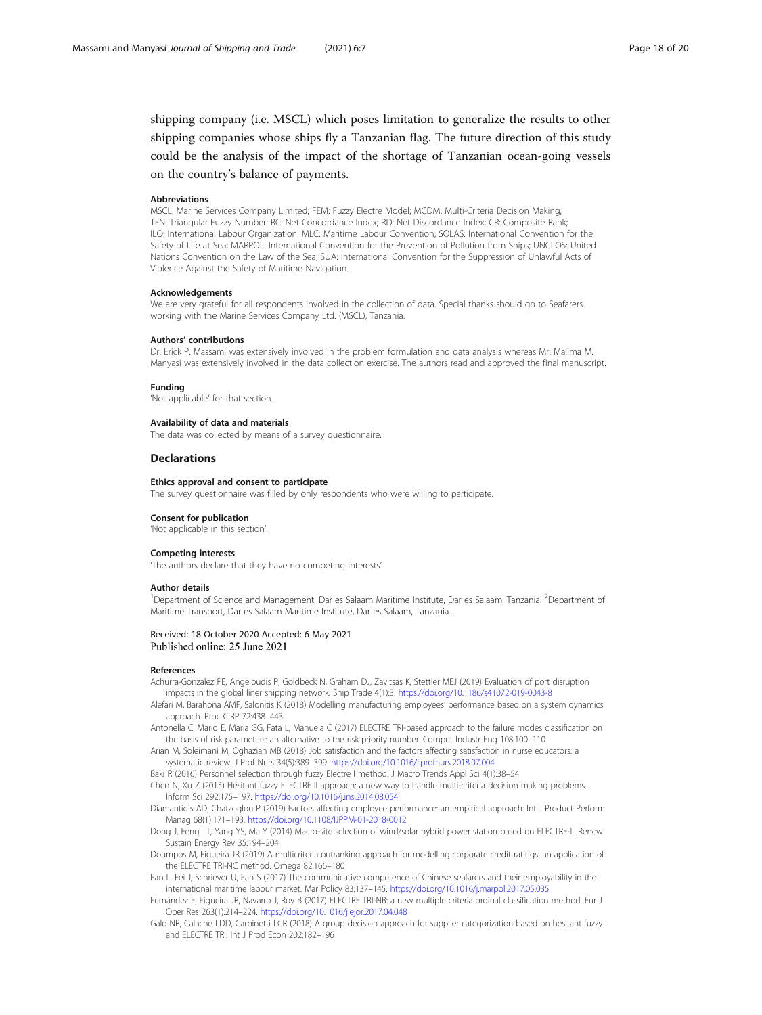<span id="page-17-0"></span>shipping company (i.e. MSCL) which poses limitation to generalize the results to other shipping companies whose ships fly a Tanzanian flag. The future direction of this study could be the analysis of the impact of the shortage of Tanzanian ocean-going vessels on the country's balance of payments.

#### Abbreviations

MSCL: Marine Services Company Limited; FEM: Fuzzy Electre Model; MCDM: Multi-Criteria Decision Making; TFN: Triangular Fuzzy Number; RC: Net Concordance Index; RD: Net Discordance Index; CR: Composite Rank; ILO: International Labour Organization; MLC: Maritime Labour Convention; SOLAS: International Convention for the Safety of Life at Sea; MARPOL: International Convention for the Prevention of Pollution from Ships; UNCLOS: United Nations Convention on the Law of the Sea; SUA: International Convention for the Suppression of Unlawful Acts of Violence Against the Safety of Maritime Navigation.

#### Acknowledgements

We are very grateful for all respondents involved in the collection of data. Special thanks should go to Seafarers working with the Marine Services Company Ltd. (MSCL), Tanzania.

#### Authors' contributions

Dr. Erick P. Massami was extensively involved in the problem formulation and data analysis whereas Mr. Malima M. Manyasi was extensively involved in the data collection exercise. The authors read and approved the final manuscript.

#### Funding

'Not applicable' for that section.

#### Availability of data and materials

The data was collected by means of a survey questionnaire.

#### **Declarations**

#### Ethics approval and consent to participate

The survey questionnaire was filled by only respondents who were willing to participate.

#### Consent for publication

'Not applicable in this section'.

#### Competing interests

'The authors declare that they have no competing interests'.

#### Author details

<sup>1</sup>Department of Science and Management, Dar es Salaam Maritime Institute, Dar es Salaam, Tanzania. <sup>2</sup>Department of Maritime Transport, Dar es Salaam Maritime Institute, Dar es Salaam, Tanzania.

# Received: 18 October 2020 Accepted: 6 May 2021<br>Published online: 25 June 2021

#### References

Achurra-Gonzalez PE, Angeloudis P, Goldbeck N, Graham DJ, Zavitsas K, Stettler MEJ (2019) Evaluation of port disruption impacts in the global liner shipping network. Ship Trade 4(1):3. <https://doi.org/10.1186/s41072-019-0043-8>

- Alefari M, Barahona AMF, Salonitis K (2018) Modelling manufacturing employees' performance based on a system dynamics approach. Proc CIRP 72:438–443
- Antonella C, Mario E, Maria GG, Fata L, Manuela C (2017) ELECTRE TRI-based approach to the failure modes classification on the basis of risk parameters: an alternative to the risk priority number. Comput Industr Eng 108:100–110
- Arian M, Soleimani M, Oghazian MB (2018) Job satisfaction and the factors affecting satisfaction in nurse educators: a systematic review. J Prof Nurs 34(5):389–399. <https://doi.org/10.1016/j.profnurs.2018.07.004>

Baki R (2016) Personnel selection through fuzzy Electre I method. J Macro Trends Appl Sci 4(1):38–54

Chen N, Xu Z (2015) Hesitant fuzzy ELECTRE II approach: a new way to handle multi-criteria decision making problems. Inform Sci 292:175–197. <https://doi.org/10.1016/j.ins.2014.08.054>

- Diamantidis AD, Chatzoglou P (2019) Factors affecting employee performance: an empirical approach. Int J Product Perform Manag 68(1):171–193. <https://doi.org/10.1108/IJPPM-01-2018-0012>
- Dong J, Feng TT, Yang YS, Ma Y (2014) Macro-site selection of wind/solar hybrid power station based on ELECTRE-II. Renew Sustain Energy Rev 35:194–204
- Doumpos M, Figueira JR (2019) A multicriteria outranking approach for modelling corporate credit ratings: an application of the ELECTRE TRI-NC method. Omega 82:166–180
- Fan L, Fei J, Schriever U, Fan S (2017) The communicative competence of Chinese seafarers and their employability in the international maritime labour market. Mar Policy 83:137–145. <https://doi.org/10.1016/j.marpol.2017.05.035>
- Fernández E, Figueira JR, Navarro J, Roy B (2017) ELECTRE TRI-NB: a new multiple criteria ordinal classification method. Eur J Oper Res 263(1):214–224. <https://doi.org/10.1016/j.ejor.2017.04.048>
- Galo NR, Calache LDD, Carpinetti LCR (2018) A group decision approach for supplier categorization based on hesitant fuzzy and ELECTRE TRI. Int J Prod Econ 202:182–196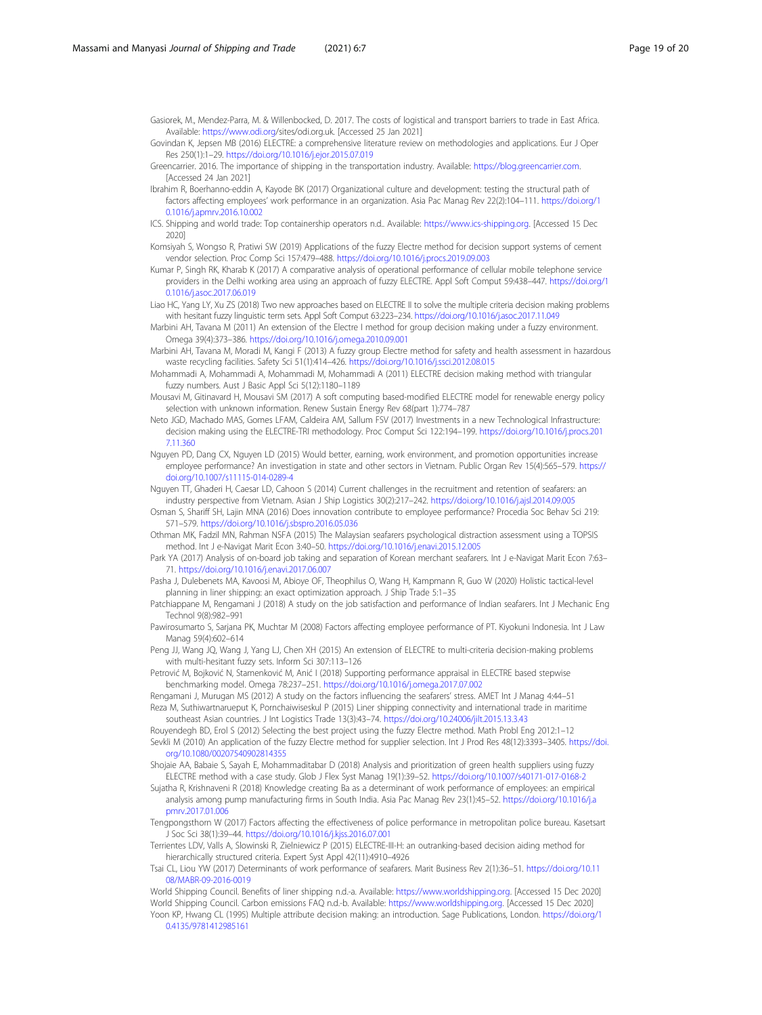<span id="page-18-0"></span>Gasiorek, M., Mendez-Parra, M. & Willenbocked, D. 2017. The costs of logistical and transport barriers to trade in East Africa. Available: [https://www.odi.org/](https://www.odi.org)sites/odi.org.uk. [Accessed 25 Jan 2021]

Govindan K, Jepsen MB (2016) ELECTRE: a comprehensive literature review on methodologies and applications. Eur J Oper Res 250(1):1–29. <https://doi.org/10.1016/j.ejor.2015.07.019>

Greencarrier. 2016. The importance of shipping in the transportation industry. Available: <https://blog.greencarrier.com>. [Accessed 24 Jan 2021]

- Ibrahim R, Boerhanno-eddin A, Kayode BK (2017) Organizational culture and development: testing the structural path of factors affecting employees' work performance in an organization. Asia Pac Manag Rev 22(2):104–111. [https://doi.org/1](https://doi.org/10.1016/j.apmrv.2016.10.002) [0.1016/j.apmrv.2016.10.002](https://doi.org/10.1016/j.apmrv.2016.10.002)
- ICS. Shipping and world trade: Top containership operators n.d.. Available: [https://www.ics-shipping.org.](https://www.ics-shipping.org) [Accessed 15 Dec 2020]
- Komsiyah S, Wongso R, Pratiwi SW (2019) Applications of the fuzzy Electre method for decision support systems of cement vendor selection. Proc Comp Sci 157:479–488. <https://doi.org/10.1016/j.procs.2019.09.003>
- Kumar P, Singh RK, Kharab K (2017) A comparative analysis of operational performance of cellular mobile telephone service providers in the Delhi working area using an approach of fuzzy ELECTRE. Appl Soft Comput 59:438–447. [https://doi.org/1](https://doi.org/10.1016/j.asoc.2017.06.019) [0.1016/j.asoc.2017.06.019](https://doi.org/10.1016/j.asoc.2017.06.019)

Liao HC, Yang LY, Xu ZS (2018) Two new approaches based on ELECTRE II to solve the multiple criteria decision making problems with hesitant fuzzy linguistic term sets. Appl Soft Comput 63:223–234. <https://doi.org/10.1016/j.asoc.2017.11.049>

Marbini AH, Tavana M (2011) An extension of the Electre I method for group decision making under a fuzzy environment. Omega 39(4):373–386. <https://doi.org/10.1016/j.omega.2010.09.001>

- Marbini AH, Tavana M, Moradi M, Kangi F (2013) A fuzzy group Electre method for safety and health assessment in hazardous waste recycling facilities. Safety Sci 51(1):414–426. <https://doi.org/10.1016/j.ssci.2012.08.015>
- Mohammadi A, Mohammadi A, Mohammadi M, Mohammadi A (2011) ELECTRE decision making method with triangular fuzzy numbers. Aust J Basic Appl Sci 5(12):1180–1189
- Mousavi M, Gitinavard H, Mousavi SM (2017) A soft computing based-modified ELECTRE model for renewable energy policy selection with unknown information. Renew Sustain Energy Rev 68(part 1):774–787
- Neto JGD, Machado MAS, Gomes LFAM, Caldeira AM, Sallum FSV (2017) Investments in a new Technological Infrastructure: decision making using the ELECTRE-TRI methodology. Proc Comput Sci 122:194–199. [https://doi.org/10.1016/j.procs.201](https://doi.org/10.1016/j.procs.2017.11.360) [7.11.360](https://doi.org/10.1016/j.procs.2017.11.360)
- Nguyen PD, Dang CX, Nguyen LD (2015) Would better, earning, work environment, and promotion opportunities increase employee performance? An investigation in state and other sectors in Vietnam. Public Organ Rev 15(4):565–579. [https://](https://doi.org/10.1007/s11115-014-0289-4) [doi.org/10.1007/s11115-014-0289-4](https://doi.org/10.1007/s11115-014-0289-4)

Nguyen TT, Ghaderi H, Caesar LD, Cahoon S (2014) Current challenges in the recruitment and retention of seafarers: an industry perspective from Vietnam. Asian J Ship Logistics 30(2):217–242. <https://doi.org/10.1016/j.ajsl.2014.09.005>

- Osman S, Shariff SH, Lajin MNA (2016) Does innovation contribute to employee performance? Procedia Soc Behav Sci 219: 571–579. <https://doi.org/10.1016/j.sbspro.2016.05.036>
- Othman MK, Fadzil MN, Rahman NSFA (2015) The Malaysian seafarers psychological distraction assessment using a TOPSIS method. Int J e-Navigat Marit Econ 3:40–50. <https://doi.org/10.1016/j.enavi.2015.12.005>
- Park YA (2017) Analysis of on-board job taking and separation of Korean merchant seafarers. Int J e-Navigat Marit Econ 7:63– 71. <https://doi.org/10.1016/j.enavi.2017.06.007>

Pasha J, Dulebenets MA, Kavoosi M, Abioye OF, Theophilus O, Wang H, Kampmann R, Guo W (2020) Holistic tactical-level planning in liner shipping: an exact optimization approach. J Ship Trade 5:1–35

- Patchiappane M, Rengamani J (2018) A study on the job satisfaction and performance of Indian seafarers. Int J Mechanic Eng Technol 9(8):982–991
- Pawirosumarto S, Sarjana PK, Muchtar M (2008) Factors affecting employee performance of PT. Kiyokuni Indonesia. Int J Law Manag 59(4):602–614
- Peng JJ, Wang JQ, Wang J, Yang LJ, Chen XH (2015) An extension of ELECTRE to multi-criteria decision-making problems with multi-hesitant fuzzy sets. Inform Sci 307:113–126

Petrović M, Bojković N, Stamenković M, Anić I (2018) Supporting performance appraisal in ELECTRE based stepwise benchmarking model. Omega 78:237–251. <https://doi.org/10.1016/j.omega.2017.07.002>

Rengamani J, Murugan MS (2012) A study on the factors influencing the seafarers' stress. AMET Int J Manag 4:44–51 Reza M, Suthiwartnarueput K, Pornchaiwiseskul P (2015) Liner shipping connectivity and international trade in maritime

southeast Asian countries. J Int Logistics Trade 13(3):43–74. <https://doi.org/10.24006/jilt.2015.13.3.43> Rouyendegh BD, Erol S (2012) Selecting the best project using the fuzzy Electre method. Math Probl Eng 2012:1–12

Sevkli M (2010) An application of the fuzzy Electre method for supplier selection. Int J Prod Res 48(12):3393–3405. [https://doi.](https://doi.org/10.1080/00207540902814355) [org/10.1080/00207540902814355](https://doi.org/10.1080/00207540902814355)

- Shojaie AA, Babaie S, Sayah E, Mohammaditabar D (2018) Analysis and prioritization of green health suppliers using fuzzy ELECTRE method with a case study. Glob J Flex Syst Manag 19(1):39–52. <https://doi.org/10.1007/s40171-017-0168-2>
- Sujatha R, Krishnaveni R (2018) Knowledge creating Ba as a determinant of work performance of employees: an empirical analysis among pump manufacturing firms in South India. Asia Pac Manag Rev 23(1):45–52. [https://doi.org/10.1016/j.a](https://doi.org/10.1016/j.apmrv.2017.01.006) [pmrv.2017.01.006](https://doi.org/10.1016/j.apmrv.2017.01.006)
- Tengpongsthorn W (2017) Factors affecting the effectiveness of police performance in metropolitan police bureau. Kasetsart J Soc Sci 38(1):39–44. <https://doi.org/10.1016/j.kjss.2016.07.001>
- Terrientes LDV, Valls A, Slowinski R, Zielniewicz P (2015) ELECTRE-III-H: an outranking-based decision aiding method for hierarchically structured criteria. Expert Syst Appl 42(11):4910–4926
- Tsai CL, Liou YW (2017) Determinants of work performance of seafarers. Marit Business Rev 2(1):36–51. [https://doi.org/10.11](https://doi.org/10.1108/MABR-09-2016-0019) [08/MABR-09-2016-0019](https://doi.org/10.1108/MABR-09-2016-0019)

World Shipping Council. Benefits of liner shipping n.d.-a. Available: [https://www.worldshipping.org.](https://www.worldshipping.org) [Accessed 15 Dec 2020] World Shipping Council. Carbon emissions FAQ n.d.-b. Available: [https://www.worldshipping.org.](https://www.worldshipping.org) [Accessed 15 Dec 2020] Yoon KP, Hwang CL (1995) Multiple attribute decision making: an introduction. Sage Publications, London. [https://doi.org/1](https://doi.org/10.4135/9781412985161)

[0.4135/9781412985161](https://doi.org/10.4135/9781412985161)